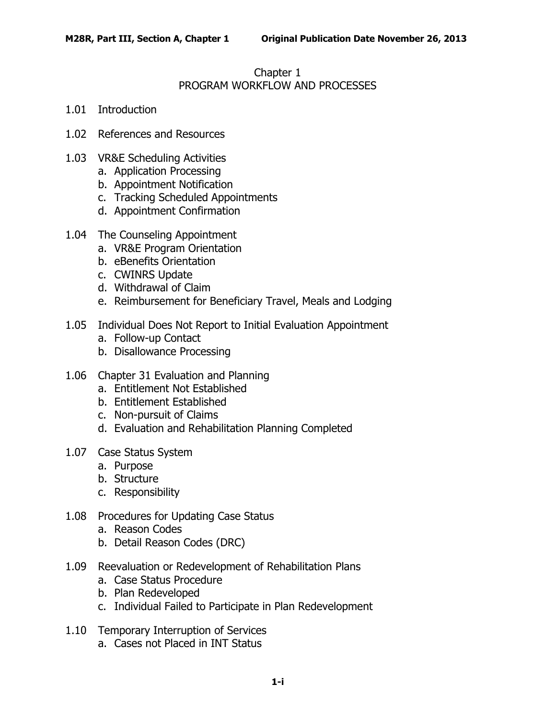#### Chapter 1 PROGRAM WORKFLOW AND PROCESSES

- 1.01 [Introduction](#page-2-0)
- 1.02 [References and Resources](#page-2-1)
- 1.03 [VR&E Scheduling Activities](#page-3-0)
	- a. [Application Processing](#page-3-1)
	- b. [Appointment Notification](#page-3-2)
	- c. [Tracking Scheduled Appointments](#page-5-0)
	- d. [Appointment Confirmation](#page-5-1)
- 1.04 [The Counseling Appointment](#page-5-2)
	- a. [VR&E Program Orientation](#page-5-3)
	- b. [eBenefits Orientation](#page-6-0)
	- c. [CWINRS Update](#page-6-1)
	- d. [Withdrawal of Claim](#page-6-2)
	- e. [Reimbursement for Beneficiary Travel, Meals](#page-7-0) and Lodging
- 1.05 [Individual Does Not Report to Initial Evaluation Appointment](#page-7-1)
	- a. [Follow-up Contact](#page-7-2)
	- b. [Disallowance Processing](#page-7-3)
- 1.06 [Chapter 31 Evaluation and Planning](#page-9-0)
	- a. [Entitlement Not Established](#page-9-1)
	- b. [Entitlement Established](#page-10-0)
	- c. [Non-pursuit of Claims](#page-11-0)
	- d. [Evaluation and Rehabilitation Planning Completed](#page-12-0)
- 1.07 [Case Status System](#page-17-0)
	- a. [Purpose](#page-17-1)
	- b. [Structure](#page-17-2)
	- c. [Responsibility](#page-18-0)
- 1.08 [Procedures for Updating Case Status](#page-18-1)
	- a. [Reason Codes](#page-18-2)
	- b. [Detail Reason Codes \(DRC\)](#page-42-0)
- 1.09 [Reevaluation or Redevelopment of Rehabilitation Plans](#page-43-0)
	- a. [Case Status Procedure](#page-43-1)
	- b. [Plan Redeveloped](#page-44-0)
	- c. [Individual Failed to Participate in Plan Redevelopment](#page-44-1)
- 1.10 [Temporary Interruption of Services](#page-44-2)
	- a. [Cases not Placed in INT Status](#page-44-3)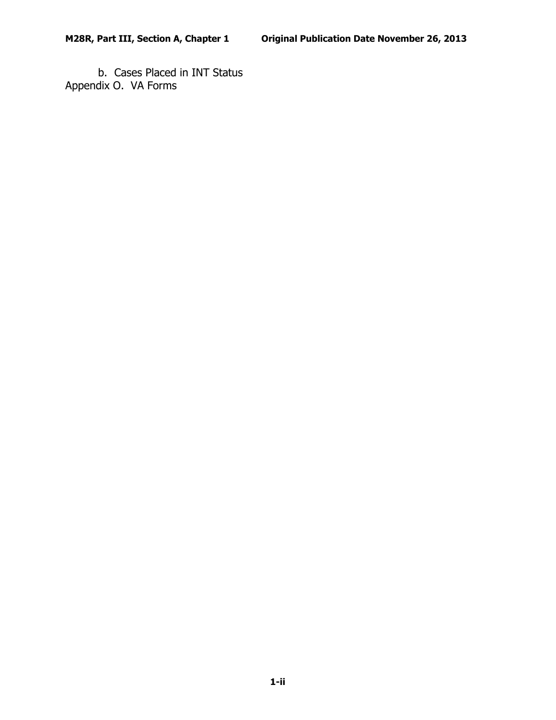b. [Cases Placed in INT Status](#page-45-0) Appendix O. VA Forms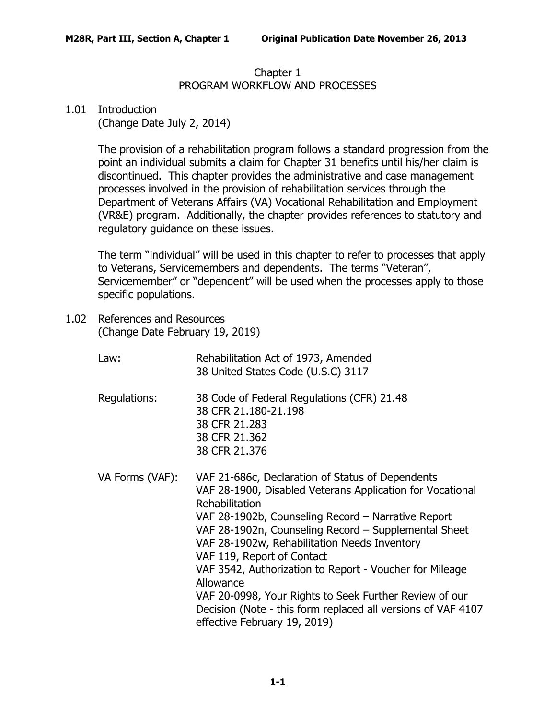### Chapter 1 PROGRAM WORKFLOW AND PROCESSES

# <span id="page-2-0"></span>1.01 Introduction

(Change Date July 2, 2014)

The provision of a rehabilitation program follows a standard progression from the point an individual submits a claim for Chapter 31 benefits until his/her claim is discontinued. This chapter provides the administrative and case management processes involved in the provision of rehabilitation services through the Department of Veterans Affairs (VA) Vocational Rehabilitation and Employment (VR&E) program. Additionally, the chapter provides references to statutory and regulatory guidance on these issues.

The term "individual" will be used in this chapter to refer to processes that apply to Veterans, Servicemembers and dependents. The terms "Veteran", Servicemember" or "dependent" will be used when the processes apply to those specific populations.

<span id="page-2-1"></span>1.02 References and Resources (Change Date February 19, 2019)

| Law:            | Rehabilitation Act of 1973, Amended<br>38 United States Code (U.S.C) 3117                                                                                                                                                                                                                                                                                                                                                                                                                                                                                     |
|-----------------|---------------------------------------------------------------------------------------------------------------------------------------------------------------------------------------------------------------------------------------------------------------------------------------------------------------------------------------------------------------------------------------------------------------------------------------------------------------------------------------------------------------------------------------------------------------|
| Regulations:    | 38 Code of Federal Regulations (CFR) 21.48<br>38 CFR 21.180-21.198<br>38 CFR 21,283<br>38 CFR 21,362<br>38 CFR 21.376                                                                                                                                                                                                                                                                                                                                                                                                                                         |
| VA Forms (VAF): | VAF 21-686c, Declaration of Status of Dependents<br>VAF 28-1900, Disabled Veterans Application for Vocational<br>Rehabilitation<br>VAF 28-1902b, Counseling Record - Narrative Report<br>VAF 28-1902n, Counseling Record - Supplemental Sheet<br>VAF 28-1902w, Rehabilitation Needs Inventory<br>VAF 119, Report of Contact<br>VAF 3542, Authorization to Report - Voucher for Mileage<br>Allowance<br>VAF 20-0998, Your Rights to Seek Further Review of our<br>Decision (Note - this form replaced all versions of VAF 4107<br>effective February 19, 2019) |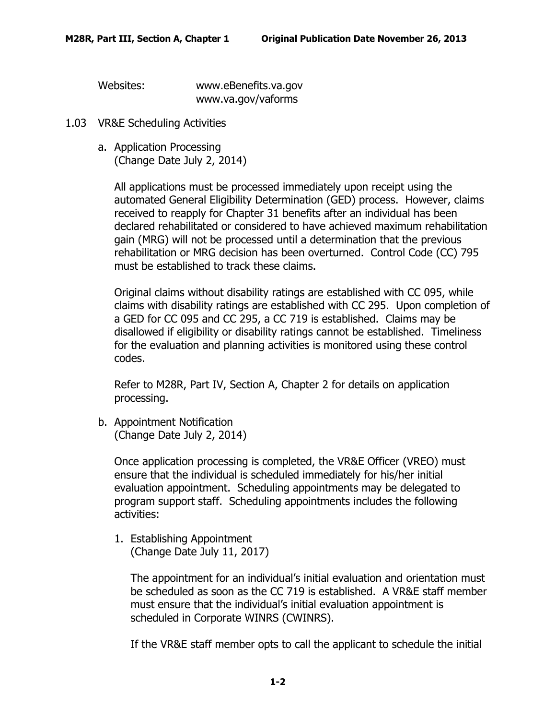Websites: www.eBenefits.va.gov

www.va.gov/vaforms

- <span id="page-3-1"></span><span id="page-3-0"></span>1.03 VR&E Scheduling Activities
	- a. Application Processing (Change Date July 2, 2014)

All applications must be processed immediately upon receipt using the automated General Eligibility Determination (GED) process. However, claims received to reapply for Chapter 31 benefits after an individual has been declared rehabilitated or considered to have achieved maximum rehabilitation gain (MRG) will not be processed until a determination that the previous rehabilitation or MRG decision has been overturned. Control Code (CC) 795 must be established to track these claims.

Original claims without disability ratings are established with CC 095, while claims with disability ratings are established with CC 295. Upon completion of a GED for CC 095 and CC 295, a CC 719 is established. Claims may be disallowed if eligibility or disability ratings cannot be established. Timeliness for the evaluation and planning activities is monitored using these control codes.

Refer to M28R, Part IV, Section A, Chapter 2 for details on application processing.

<span id="page-3-2"></span>b. Appointment Notification (Change Date July 2, 2014)

> Once application processing is completed, the VR&E Officer (VREO) must ensure that the individual is scheduled immediately for his/her initial evaluation appointment. Scheduling appointments may be delegated to program support staff. Scheduling appointments includes the following activities:

1. Establishing Appointment (Change Date July 11, 2017)

The appointment for an individual's initial evaluation and orientation must be scheduled as soon as the CC 719 is established. A VR&E staff member must ensure that the individual's initial evaluation appointment is scheduled in Corporate WINRS (CWINRS).

If the VR&E staff member opts to call the applicant to schedule the initial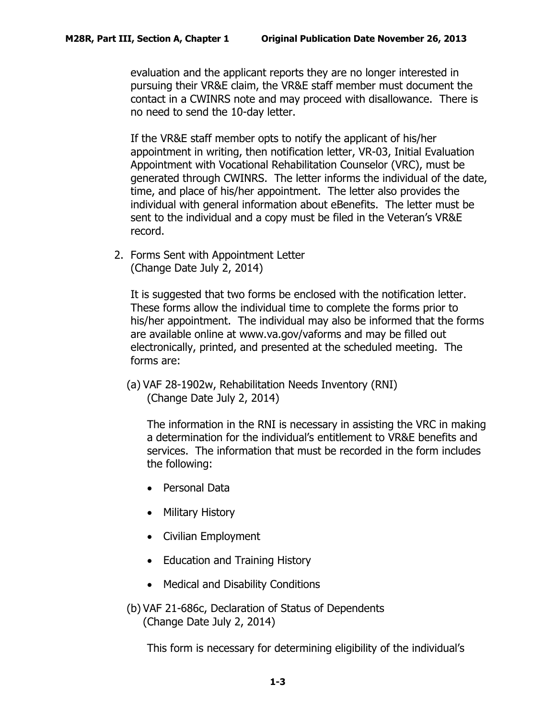evaluation and the applicant reports they are no longer interested in pursuing their VR&E claim, the VR&E staff member must document the contact in a CWINRS note and may proceed with disallowance. There is no need to send the 10-day letter.

If the VR&E staff member opts to notify the applicant of his/her appointment in writing, then notification letter, VR-03, Initial Evaluation Appointment with Vocational Rehabilitation Counselor (VRC), must be generated through CWINRS. The letter informs the individual of the date, time, and place of his/her appointment. The letter also provides the individual with general information about eBenefits. The letter must be sent to the individual and a copy must be filed in the Veteran's VR&E record.

2. Forms Sent with Appointment Letter (Change Date July 2, 2014)

It is suggested that two forms be enclosed with the notification letter. These forms allow the individual time to complete the forms prior to his/her appointment. The individual may also be informed that the forms are available online at www.va.gov/vaforms and may be filled out electronically, printed, and presented at the scheduled meeting. The forms are:

(a) VAF 28-1902w, Rehabilitation Needs Inventory (RNI) (Change Date July 2, 2014)

The information in the RNI is necessary in assisting the VRC in making a determination for the individual's entitlement to VR&E benefits and services. The information that must be recorded in the form includes the following:

- Personal Data
- Military History
- Civilian Employment
- Education and Training History
- Medical and Disability Conditions
- (b) VAF 21-686c, Declaration of Status of Dependents (Change Date July 2, 2014)

This form is necessary for determining eligibility of the individual's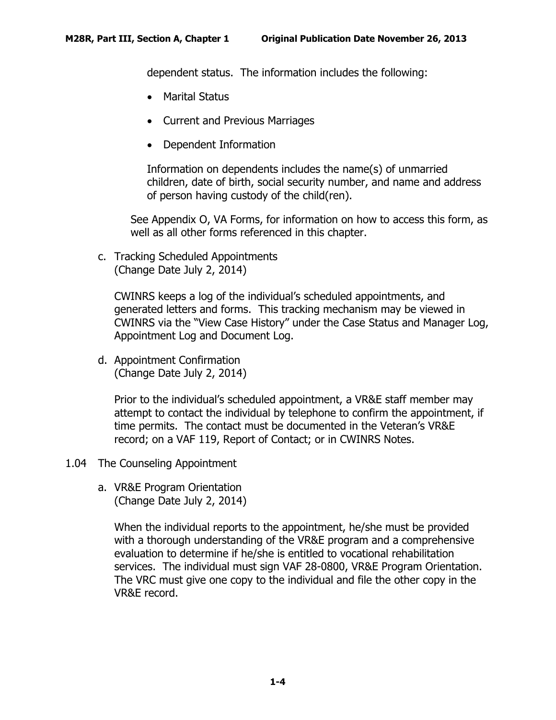dependent status. The information includes the following:

- Marital Status
- Current and Previous Marriages
- Dependent Information

Information on dependents includes the name(s) of unmarried children, date of birth, social security number, and name and address of person having custody of the child(ren).

See Appendix O, VA Forms, for information on how to access this form, as well as all other forms referenced in this chapter.

<span id="page-5-0"></span>c. Tracking Scheduled Appointments (Change Date July 2, 2014)

CWINRS keeps a log of the individual's scheduled appointments, and generated letters and forms. This tracking mechanism may be viewed in CWINRS via the "View Case History" under the Case Status and Manager Log, Appointment Log and Document Log.

<span id="page-5-1"></span>d. Appointment Confirmation (Change Date July 2, 2014)

> Prior to the individual's scheduled appointment, a VR&E staff member may attempt to contact the individual by telephone to confirm the appointment, if time permits. The contact must be documented in the Veteran's VR&E record; on a VAF 119, Report of Contact; or in CWINRS Notes.

- <span id="page-5-3"></span><span id="page-5-2"></span>1.04 The Counseling Appointment
	- a. VR&E Program Orientation (Change Date July 2, 2014)

When the individual reports to the appointment, he/she must be provided with a thorough understanding of the VR&E program and a comprehensive evaluation to determine if he/she is entitled to vocational rehabilitation services. The individual must sign VAF 28-0800, VR&E Program Orientation. The VRC must give one copy to the individual and file the other copy in the VR&E record.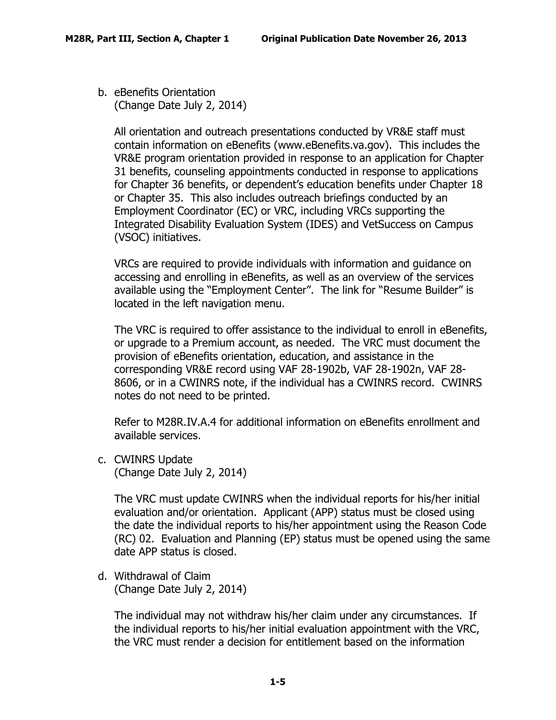<span id="page-6-0"></span>b. eBenefits Orientation (Change Date July 2, 2014)

All orientation and outreach presentations conducted by VR&E staff must contain information on eBenefits (www.eBenefits.va.gov). This includes the VR&E program orientation provided in response to an application for Chapter 31 benefits, counseling appointments conducted in response to applications for Chapter 36 benefits, or dependent's education benefits under Chapter 18 or Chapter 35. This also includes outreach briefings conducted by an Employment Coordinator (EC) or VRC, including VRCs supporting the Integrated Disability Evaluation System (IDES) and VetSuccess on Campus (VSOC) initiatives.

VRCs are required to provide individuals with information and guidance on accessing and enrolling in eBenefits, as well as an overview of the services available using the "Employment Center". The link for "Resume Builder" is located in the left navigation menu.

The VRC is required to offer assistance to the individual to enroll in eBenefits, or upgrade to a Premium account, as needed. The VRC must document the provision of eBenefits orientation, education, and assistance in the corresponding VR&E record using VAF 28-1902b, VAF 28-1902n, VAF 28- 8606, or in a CWINRS note, if the individual has a CWINRS record. CWINRS notes do not need to be printed.

Refer to M28R.IV.A.4 for additional information on eBenefits enrollment and available services.

<span id="page-6-1"></span>c. CWINRS Update (Change Date July 2, 2014)

> The VRC must update CWINRS when the individual reports for his/her initial evaluation and/or orientation. Applicant (APP) status must be closed using the date the individual reports to his/her appointment using the Reason Code (RC) 02. Evaluation and Planning (EP) status must be opened using the same date APP status is closed.

<span id="page-6-2"></span>d. Withdrawal of Claim (Change Date July 2, 2014)

> The individual may not withdraw his/her claim under any circumstances. If the individual reports to his/her initial evaluation appointment with the VRC, the VRC must render a decision for entitlement based on the information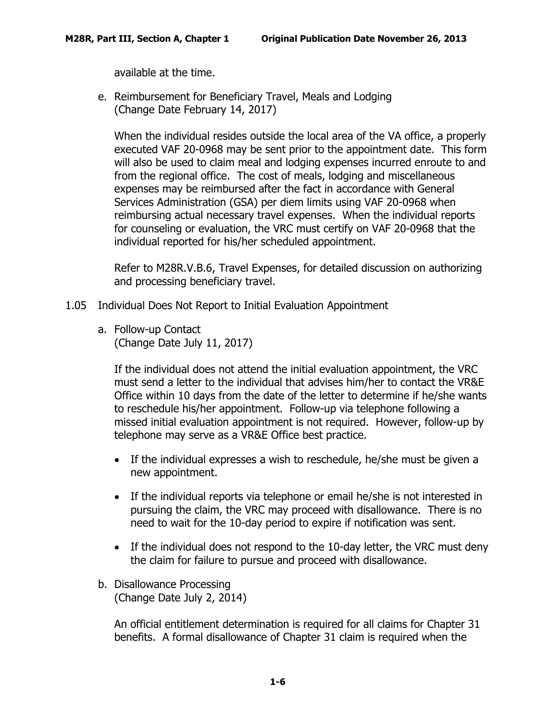available at the time.

<span id="page-7-0"></span>e. Reimbursement for Beneficiary Travel, Meals and Lodging (Change Date February 14, 2017)

When the individual resides outside the local area of the VA office, a properly executed VAF 20-0968 may be sent prior to the appointment date. This form will also be used to claim meal and lodging expenses incurred enroute to and from the regional office. The cost of meals, lodging and miscellaneous expenses may be reimbursed after the fact in accordance with General Services Administration (GSA) per diem limits using VAF 20-0968 when reimbursing actual necessary travel expenses. When the individual reports for counseling or evaluation, the VRC must certify on VAF 20-0968 that the individual reported for his/her scheduled appointment.

Refer to M28R.V.B.6, Travel Expenses, for detailed discussion on authorizing and processing beneficiary travel.

- <span id="page-7-2"></span><span id="page-7-1"></span>1.05 Individual Does Not Report to Initial Evaluation Appointment
	- a. Follow-up Contact (Change Date July 11, 2017)

If the individual does not attend the initial evaluation appointment, the VRC must send a letter to the individual that advises him/her to contact the VR&E Office within 10 days from the date of the letter to determine if he/she wants to reschedule his/her appointment. Follow-up via telephone following a missed initial evaluation appointment is not required. However, follow-up by telephone may serve as a VR&E Office best practice.

- If the individual expresses a wish to reschedule, he/she must be given a new appointment.
- If the individual reports via telephone or email he/she is not interested in pursuing the claim, the VRC may proceed with disallowance. There is no need to wait for the 10-day period to expire if notification was sent.
- If the individual does not respond to the 10-day letter, the VRC must deny the claim for failure to pursue and proceed with disallowance.
- <span id="page-7-3"></span>b. Disallowance Processing (Change Date July 2, 2014)

An official entitlement determination is required for all claims for Chapter 31 benefits. A formal disallowance of Chapter 31 claim is required when the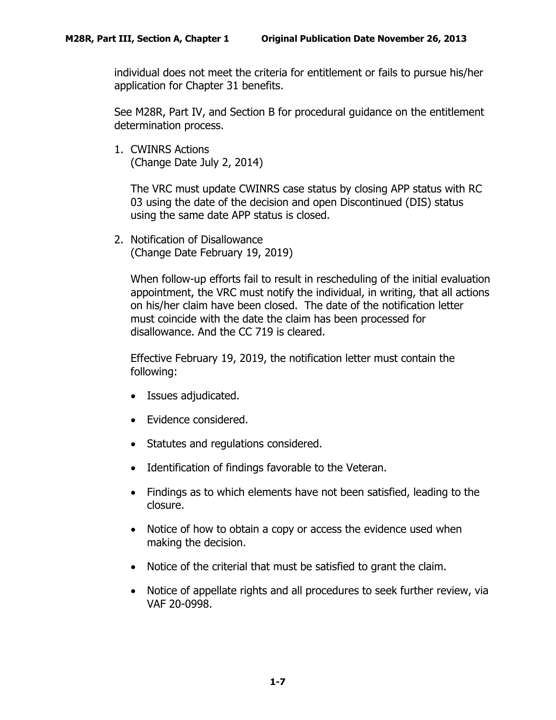individual does not meet the criteria for entitlement or fails to pursue his/her application for Chapter 31 benefits.

See M28R, Part IV, and Section B for procedural guidance on the entitlement determination process.

1. CWINRS Actions (Change Date July 2, 2014)

The VRC must update CWINRS case status by closing APP status with RC 03 using the date of the decision and open Discontinued (DIS) status using the same date APP status is closed.

2. Notification of Disallowance (Change Date February 19, 2019)

When follow-up efforts fail to result in rescheduling of the initial evaluation appointment, the VRC must notify the individual, in writing, that all actions on his/her claim have been closed. The date of the notification letter must coincide with the date the claim has been processed for disallowance. And the CC 719 is cleared.

Effective February 19, 2019, the notification letter must contain the following:

- Issues adjudicated.
- Evidence considered.
- Statutes and regulations considered.
- Identification of findings favorable to the Veteran.
- Findings as to which elements have not been satisfied, leading to the closure.
- Notice of how to obtain a copy or access the evidence used when making the decision.
- Notice of the criterial that must be satisfied to grant the claim.
- Notice of appellate rights and all procedures to seek further review, via VAF 20-0998.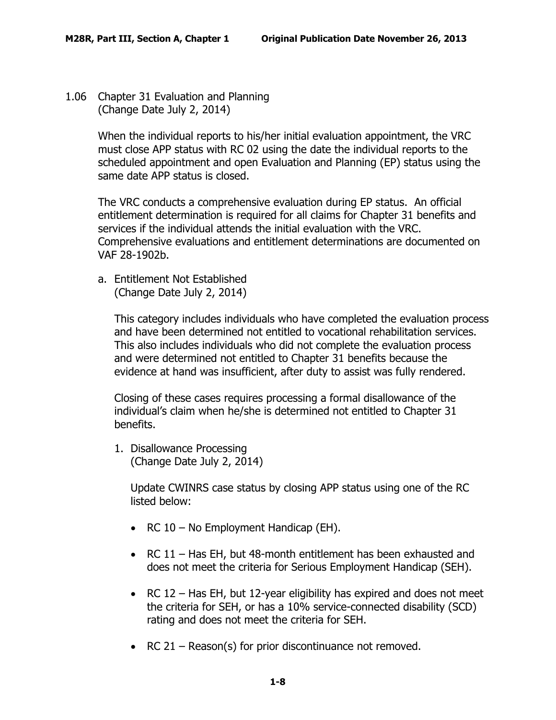<span id="page-9-0"></span>1.06 Chapter 31 Evaluation and Planning (Change Date July 2, 2014)

> When the individual reports to his/her initial evaluation appointment, the VRC must close APP status with RC 02 using the date the individual reports to the scheduled appointment and open Evaluation and Planning (EP) status using the same date APP status is closed.

> The VRC conducts a comprehensive evaluation during EP status. An official entitlement determination is required for all claims for Chapter 31 benefits and services if the individual attends the initial evaluation with the VRC. Comprehensive evaluations and entitlement determinations are documented on VAF 28-1902b.

<span id="page-9-1"></span>a. Entitlement Not Established (Change Date July 2, 2014)

> This category includes individuals who have completed the evaluation process and have been determined not entitled to vocational rehabilitation services. This also includes individuals who did not complete the evaluation process and were determined not entitled to Chapter 31 benefits because the evidence at hand was insufficient, after duty to assist was fully rendered.

Closing of these cases requires processing a formal disallowance of the individual's claim when he/she is determined not entitled to Chapter 31 benefits.

1. Disallowance Processing (Change Date July 2, 2014)

> Update CWINRS case status by closing APP status using one of the RC listed below:

- RC 10 No Employment Handicap (EH).
- RC 11 Has EH, but 48-month entitlement has been exhausted and does not meet the criteria for Serious Employment Handicap (SEH).
- RC 12 Has EH, but 12-year eligibility has expired and does not meet the criteria for SEH, or has a 10% service-connected disability (SCD) rating and does not meet the criteria for SEH.
- RC 21 Reason(s) for prior discontinuance not removed.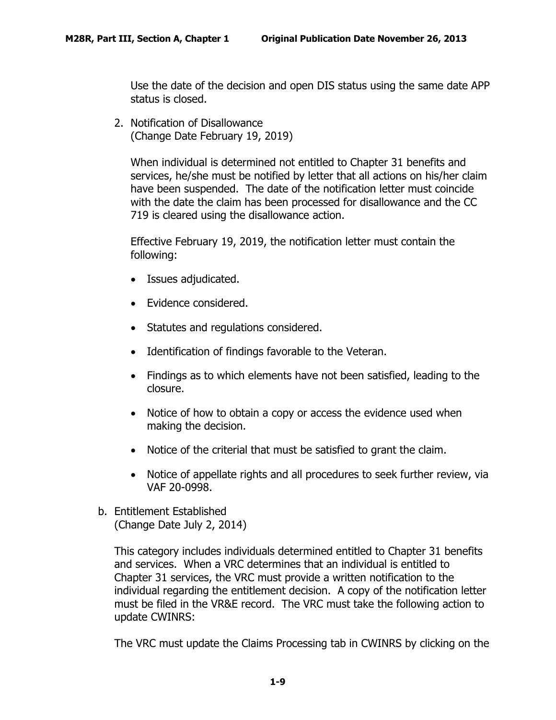Use the date of the decision and open DIS status using the same date APP status is closed.

2. Notification of Disallowance (Change Date February 19, 2019)

When individual is determined not entitled to Chapter 31 benefits and services, he/she must be notified by letter that all actions on his/her claim have been suspended. The date of the notification letter must coincide with the date the claim has been processed for disallowance and the CC 719 is cleared using the disallowance action.

Effective February 19, 2019, the notification letter must contain the following:

- Issues adjudicated.
- Evidence considered.
- Statutes and regulations considered.
- Identification of findings favorable to the Veteran.
- Findings as to which elements have not been satisfied, leading to the closure.
- Notice of how to obtain a copy or access the evidence used when making the decision.
- Notice of the criterial that must be satisfied to grant the claim.
- Notice of appellate rights and all procedures to seek further review, via VAF 20-0998.
- <span id="page-10-0"></span>b. Entitlement Established (Change Date July 2, 2014)

This category includes individuals determined entitled to Chapter 31 benefits and services. When a VRC determines that an individual is entitled to Chapter 31 services, the VRC must provide a written notification to the individual regarding the entitlement decision. A copy of the notification letter must be filed in the VR&E record. The VRC must take the following action to update CWINRS:

The VRC must update the Claims Processing tab in CWINRS by clicking on the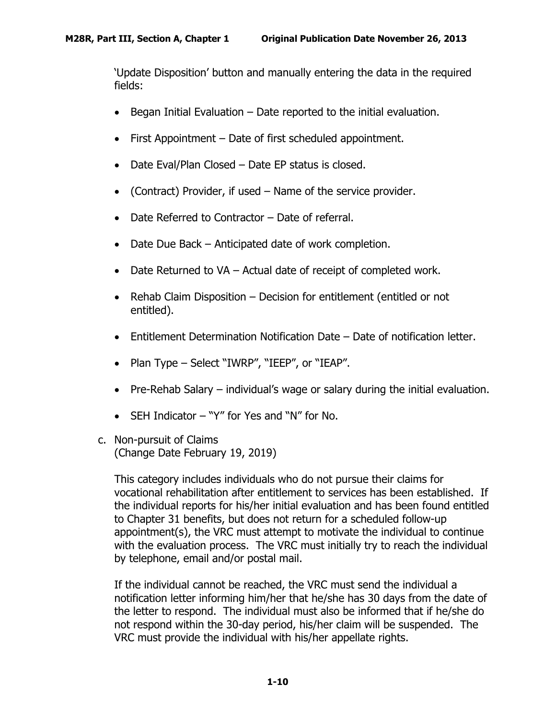'Update Disposition' button and manually entering the data in the required fields:

- Began Initial Evaluation Date reported to the initial evaluation.
- First Appointment Date of first scheduled appointment.
- Date Eval/Plan Closed Date EP status is closed.
- (Contract) Provider, if used Name of the service provider.
- Date Referred to Contractor Date of referral.
- Date Due Back Anticipated date of work completion.
- Date Returned to VA Actual date of receipt of completed work.
- Rehab Claim Disposition Decision for entitlement (entitled or not entitled).
- Entitlement Determination Notification Date Date of notification letter.
- Plan Type Select "IWRP", "IEEP", or "IEAP".
- Pre-Rehab Salary individual's wage or salary during the initial evaluation.
- SEH Indicator "Y" for Yes and "N" for No.
- <span id="page-11-0"></span>c. Non-pursuit of Claims (Change Date February 19, 2019)

This category includes individuals who do not pursue their claims for vocational rehabilitation after entitlement to services has been established. If the individual reports for his/her initial evaluation and has been found entitled to Chapter 31 benefits, but does not return for a scheduled follow-up appointment(s), the VRC must attempt to motivate the individual to continue with the evaluation process. The VRC must initially try to reach the individual by telephone, email and/or postal mail.

If the individual cannot be reached, the VRC must send the individual a notification letter informing him/her that he/she has 30 days from the date of the letter to respond. The individual must also be informed that if he/she do not respond within the 30-day period, his/her claim will be suspended. The VRC must provide the individual with his/her appellate rights.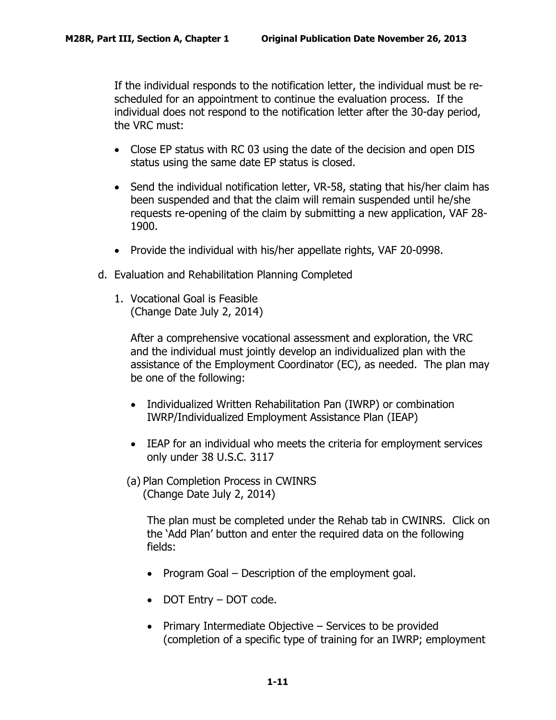If the individual responds to the notification letter, the individual must be rescheduled for an appointment to continue the evaluation process. If the individual does not respond to the notification letter after the 30-day period, the VRC must:

- Close EP status with RC 03 using the date of the decision and open DIS status using the same date EP status is closed.
- Send the individual notification letter, VR-58, stating that his/her claim has been suspended and that the claim will remain suspended until he/she requests re-opening of the claim by submitting a new application, VAF 28- 1900.
- Provide the individual with his/her appellate rights, VAF 20-0998.
- <span id="page-12-0"></span>d. Evaluation and Rehabilitation Planning Completed
	- 1. Vocational Goal is Feasible (Change Date July 2, 2014)

After a comprehensive vocational assessment and exploration, the VRC and the individual must jointly develop an individualized plan with the assistance of the Employment Coordinator (EC), as needed. The plan may be one of the following:

- Individualized Written Rehabilitation Pan (IWRP) or combination IWRP/Individualized Employment Assistance Plan (IEAP)
- IEAP for an individual who meets the criteria for employment services only under 38 U.S.C. 3117
- (a) Plan Completion Process in CWINRS (Change Date July 2, 2014)

The plan must be completed under the Rehab tab in CWINRS. Click on the 'Add Plan' button and enter the required data on the following fields:

- Program Goal Description of the employment goal.
- DOT Entry DOT code.
- Primary Intermediate Objective Services to be provided (completion of a specific type of training for an IWRP; employment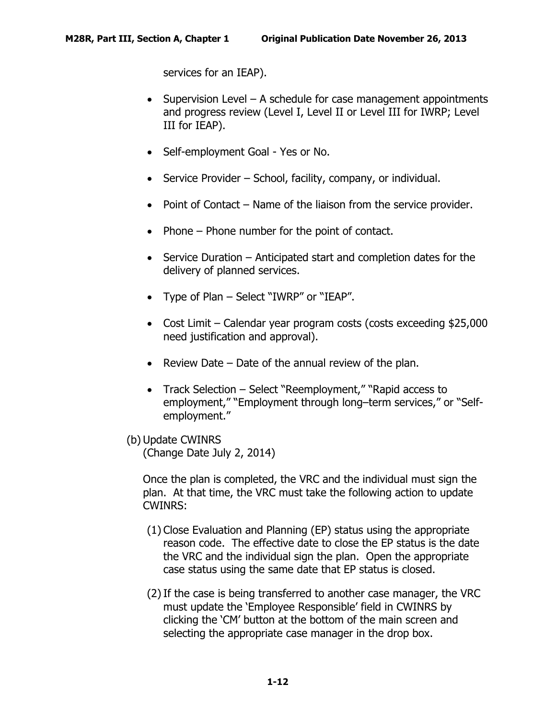services for an IEAP).

- Supervision Level A schedule for case management appointments and progress review (Level I, Level II or Level III for IWRP; Level III for IEAP).
- Self-employment Goal Yes or No.
- Service Provider School, facility, company, or individual.
- Point of Contact Name of the liaison from the service provider.
- Phone Phone number for the point of contact.
- Service Duration Anticipated start and completion dates for the delivery of planned services.
- Type of Plan Select "IWRP" or "IEAP".
- Cost Limit Calendar year program costs (costs exceeding \$25,000 need justification and approval).
- Review Date Date of the annual review of the plan.
- Track Selection Select "Reemployment," "Rapid access to employment," "Employment through long–term services," or "Selfemployment."
- (b) Update CWINRS (Change Date July 2, 2014)

Once the plan is completed, the VRC and the individual must sign the plan. At that time, the VRC must take the following action to update CWINRS:

- (1) Close Evaluation and Planning (EP) status using the appropriate reason code. The effective date to close the EP status is the date the VRC and the individual sign the plan. Open the appropriate case status using the same date that EP status is closed.
- (2)If the case is being transferred to another case manager, the VRC must update the 'Employee Responsible' field in CWINRS by clicking the 'CM' button at the bottom of the main screen and selecting the appropriate case manager in the drop box.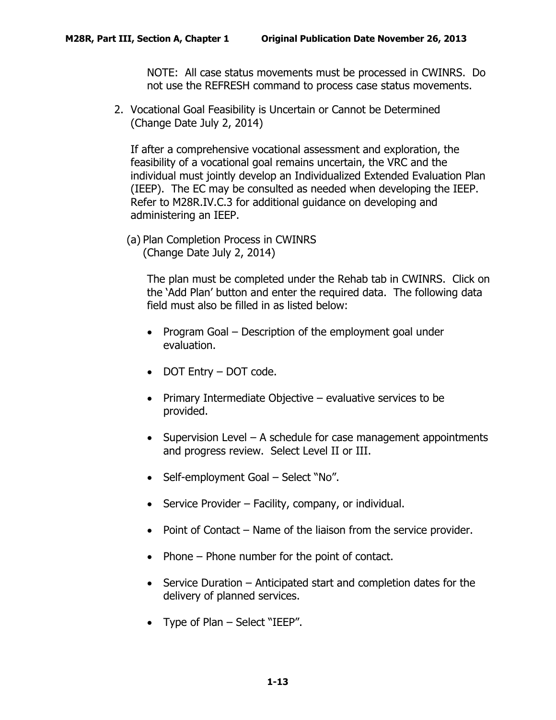NOTE: All case status movements must be processed in CWINRS. Do not use the REFRESH command to process case status movements.

2. Vocational Goal Feasibility is Uncertain or Cannot be Determined (Change Date July 2, 2014)

If after a comprehensive vocational assessment and exploration, the feasibility of a vocational goal remains uncertain, the VRC and the individual must jointly develop an Individualized Extended Evaluation Plan (IEEP). The EC may be consulted as needed when developing the IEEP. Refer to M28R.IV.C.3 for additional guidance on developing and administering an IEEP.

(a) Plan Completion Process in CWINRS (Change Date July 2, 2014)

> The plan must be completed under the Rehab tab in CWINRS. Click on the 'Add Plan' button and enter the required data. The following data field must also be filled in as listed below:

- Program Goal Description of the employment goal under evaluation.
- DOT Entry DOT code.
- Primary Intermediate Objective evaluative services to be provided.
- Supervision Level A schedule for case management appointments and progress review. Select Level II or III.
- Self-employment Goal Select "No".
- Service Provider Facility, company, or individual.
- Point of Contact Name of the liaison from the service provider.
- Phone Phone number for the point of contact.
- Service Duration Anticipated start and completion dates for the delivery of planned services.
- Type of Plan Select "IEEP".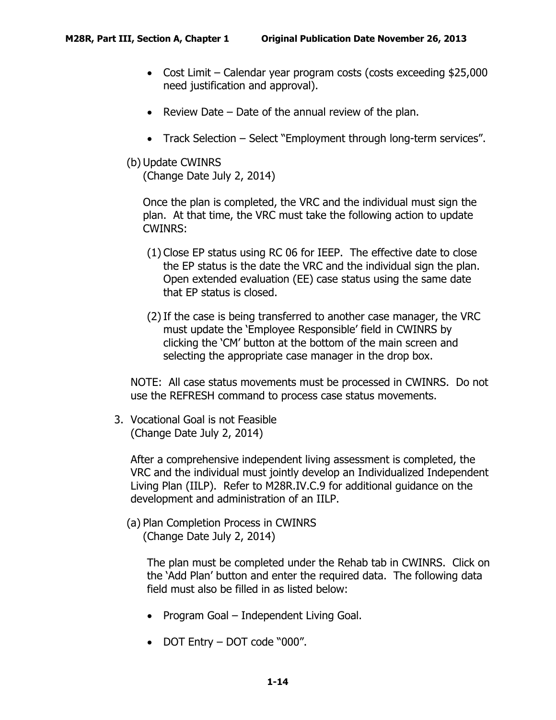- Cost Limit Calendar year program costs (costs exceeding \$25,000 need justification and approval).
- Review Date Date of the annual review of the plan.
- Track Selection Select "Employment through long-term services".
- (b) Update CWINRS

(Change Date July 2, 2014)

Once the plan is completed, the VRC and the individual must sign the plan. At that time, the VRC must take the following action to update CWINRS:

- (1) Close EP status using RC 06 for IEEP. The effective date to close the EP status is the date the VRC and the individual sign the plan. Open extended evaluation (EE) case status using the same date that EP status is closed.
- (2)If the case is being transferred to another case manager, the VRC must update the 'Employee Responsible' field in CWINRS by clicking the 'CM' button at the bottom of the main screen and selecting the appropriate case manager in the drop box.

NOTE: All case status movements must be processed in CWINRS. Do not use the REFRESH command to process case status movements.

3. Vocational Goal is not Feasible (Change Date July 2, 2014)

After a comprehensive independent living assessment is completed, the VRC and the individual must jointly develop an Individualized Independent Living Plan (IILP). Refer to M28R.IV.C.9 for additional guidance on the development and administration of an IILP.

(a) Plan Completion Process in CWINRS (Change Date July 2, 2014)

> The plan must be completed under the Rehab tab in CWINRS. Click on the 'Add Plan' button and enter the required data. The following data field must also be filled in as listed below:

- Program Goal Independent Living Goal.
- DOT Entry DOT code "000".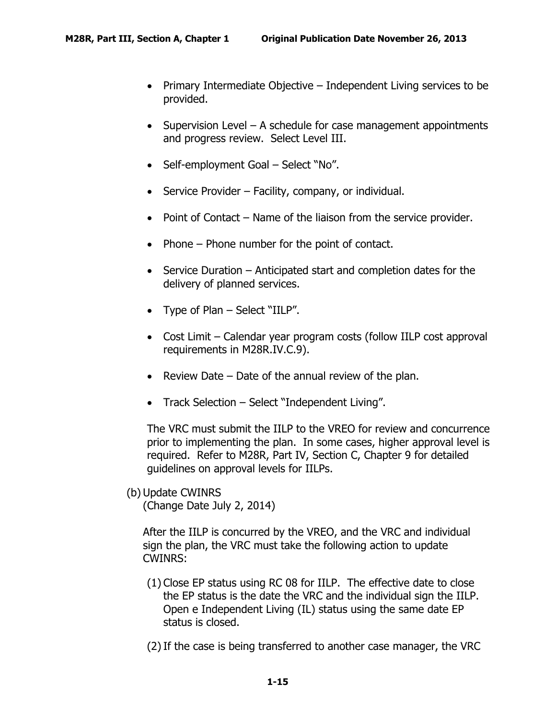- Primary Intermediate Objective Independent Living services to be provided.
- Supervision Level A schedule for case management appointments and progress review. Select Level III.
- Self-employment Goal Select "No".
- Service Provider Facility, company, or individual.
- Point of Contact Name of the liaison from the service provider.
- Phone Phone number for the point of contact.
- Service Duration Anticipated start and completion dates for the delivery of planned services.
- Type of Plan Select "IILP".
- Cost Limit Calendar year program costs (follow IILP cost approval requirements in M28R.IV.C.9).
- Review Date Date of the annual review of the plan.
- Track Selection Select "Independent Living".

The VRC must submit the IILP to the VREO for review and concurrence prior to implementing the plan. In some cases, higher approval level is required. Refer to M28R, Part IV, Section C, Chapter 9 for detailed guidelines on approval levels for IILPs.

(b) Update CWINRS

(Change Date July 2, 2014)

After the IILP is concurred by the VREO, and the VRC and individual sign the plan, the VRC must take the following action to update CWINRS:

- (1) Close EP status using RC 08 for IILP. The effective date to close the EP status is the date the VRC and the individual sign the IILP. Open e Independent Living (IL) status using the same date EP status is closed.
- (2)If the case is being transferred to another case manager, the VRC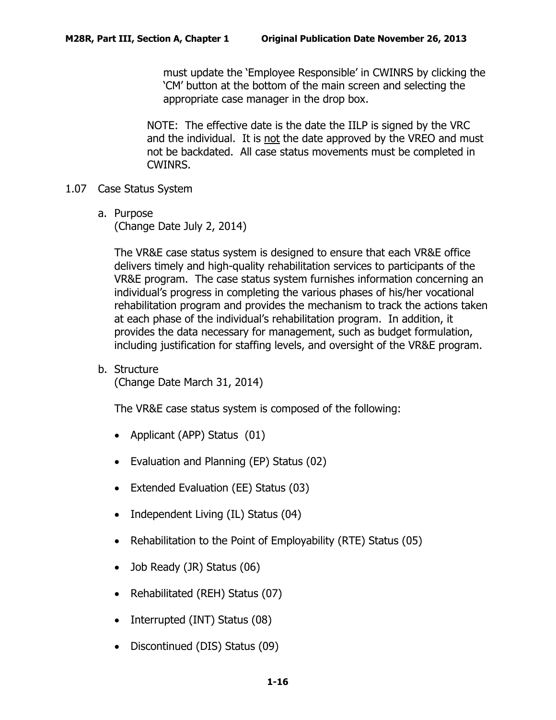must update the 'Employee Responsible' in CWINRS by clicking the 'CM' button at the bottom of the main screen and selecting the appropriate case manager in the drop box.

NOTE: The effective date is the date the IILP is signed by the VRC and the individual. It is not the date approved by the VREO and must not be backdated. All case status movements must be completed in CWINRS.

- <span id="page-17-1"></span><span id="page-17-0"></span>1.07 Case Status System
	- a. Purpose

(Change Date July 2, 2014)

The VR&E case status system is designed to ensure that each VR&E office delivers timely and high-quality rehabilitation services to participants of the VR&E program. The case status system furnishes information concerning an individual's progress in completing the various phases of his/her vocational rehabilitation program and provides the mechanism to track the actions taken at each phase of the individual's rehabilitation program. In addition, it provides the data necessary for management, such as budget formulation, including justification for staffing levels, and oversight of the VR&E program.

<span id="page-17-2"></span>b. Structure

(Change Date March 31, 2014)

The VR&E case status system is composed of the following:

- Applicant (APP) Status (01)
- Evaluation and Planning (EP) Status (02)
- Extended Evaluation (EE) Status (03)
- Independent Living (IL) Status (04)
- Rehabilitation to the Point of Employability (RTE) Status (05)
- Job Ready (JR) Status (06)
- Rehabilitated (REH) Status (07)
- Interrupted (INT) Status (08)
- Discontinued (DIS) Status (09)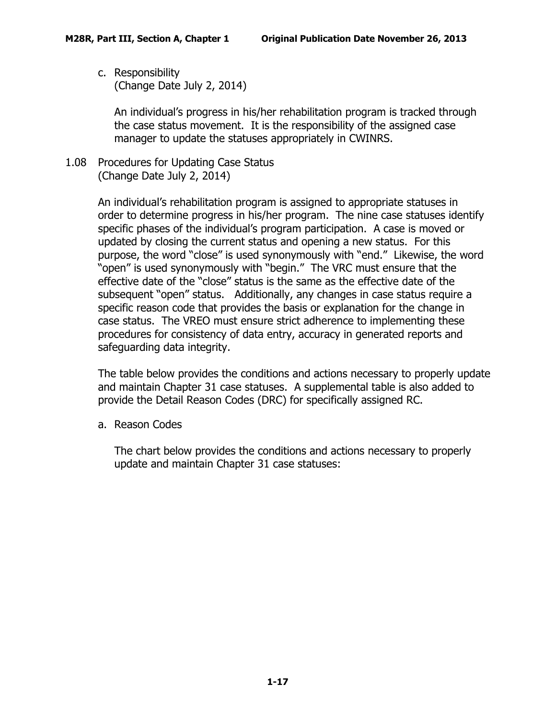<span id="page-18-0"></span>c. Responsibility (Change Date July 2, 2014)

> An individual's progress in his/her rehabilitation program is tracked through the case status movement. It is the responsibility of the assigned case manager to update the statuses appropriately in CWINRS.

<span id="page-18-1"></span>1.08 Procedures for Updating Case Status (Change Date July 2, 2014)

> An individual's rehabilitation program is assigned to appropriate statuses in order to determine progress in his/her program. The nine case statuses identify specific phases of the individual's program participation. A case is moved or updated by closing the current status and opening a new status. For this purpose, the word "close" is used synonymously with "end." Likewise, the word "open" is used synonymously with "begin." The VRC must ensure that the effective date of the "close" status is the same as the effective date of the subsequent "open" status. Additionally, any changes in case status require a specific reason code that provides the basis or explanation for the change in case status. The VREO must ensure strict adherence to implementing these procedures for consistency of data entry, accuracy in generated reports and safeguarding data integrity.

The table below provides the conditions and actions necessary to properly update and maintain Chapter 31 case statuses. A supplemental table is also added to provide the Detail Reason Codes (DRC) for specifically assigned RC.

<span id="page-18-2"></span>a. Reason Codes

The chart below provides the conditions and actions necessary to properly update and maintain Chapter 31 case statuses: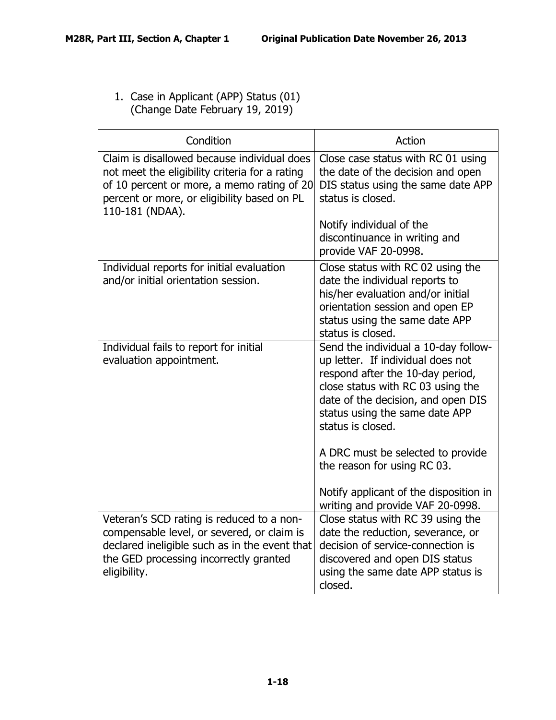1. Case in Applicant (APP) Status (01) (Change Date February 19, 2019)

| Condition                                                                                                                                                                                                     | Action                                                                                                                                                                                                                                          |
|---------------------------------------------------------------------------------------------------------------------------------------------------------------------------------------------------------------|-------------------------------------------------------------------------------------------------------------------------------------------------------------------------------------------------------------------------------------------------|
| Claim is disallowed because individual does<br>not meet the eligibility criteria for a rating<br>of 10 percent or more, a memo rating of 20<br>percent or more, or eligibility based on PL<br>110-181 (NDAA). | Close case status with RC 01 using<br>the date of the decision and open<br>DIS status using the same date APP<br>status is closed.                                                                                                              |
|                                                                                                                                                                                                               | Notify individual of the<br>discontinuance in writing and<br>provide VAF 20-0998.                                                                                                                                                               |
| Individual reports for initial evaluation<br>and/or initial orientation session.                                                                                                                              | Close status with RC 02 using the<br>date the individual reports to<br>his/her evaluation and/or initial<br>orientation session and open EP<br>status using the same date APP<br>status is closed.                                              |
| Individual fails to report for initial<br>evaluation appointment.                                                                                                                                             | Send the individual a 10-day follow-<br>up letter. If individual does not<br>respond after the 10-day period,<br>close status with RC 03 using the<br>date of the decision, and open DIS<br>status using the same date APP<br>status is closed. |
|                                                                                                                                                                                                               | A DRC must be selected to provide<br>the reason for using RC 03.                                                                                                                                                                                |
|                                                                                                                                                                                                               | Notify applicant of the disposition in<br>writing and provide VAF 20-0998.                                                                                                                                                                      |
| Veteran's SCD rating is reduced to a non-<br>compensable level, or severed, or claim is<br>declared ineligible such as in the event that<br>the GED processing incorrectly granted<br>eligibility.            | Close status with RC 39 using the<br>date the reduction, severance, or<br>decision of service-connection is<br>discovered and open DIS status<br>using the same date APP status is<br>closed.                                                   |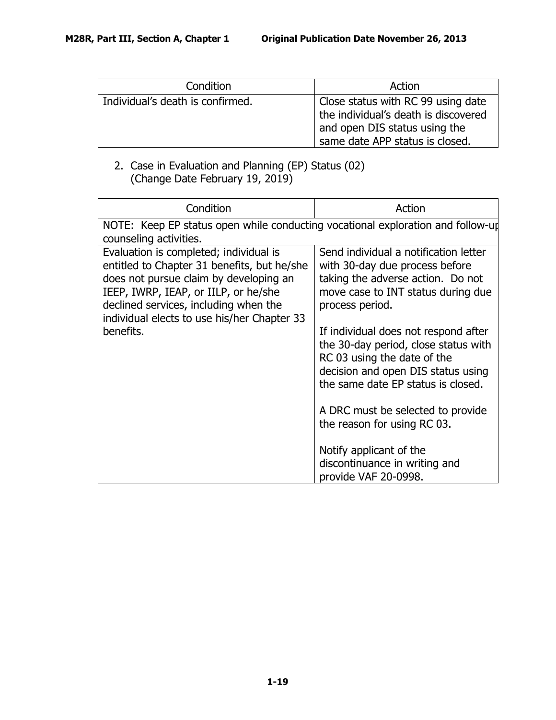| Condition                        | Action                                                                                                                                         |
|----------------------------------|------------------------------------------------------------------------------------------------------------------------------------------------|
| Individual's death is confirmed. | Close status with RC 99 using date<br>the individual's death is discovered<br>and open DIS status using the<br>same date APP status is closed. |

## 2. Case in Evaluation and Planning (EP) Status (02) (Change Date February 19, 2019)

| Condition                                                                                                                                                                                                                                                                    | Action                                                                                                                                                                                                        |
|------------------------------------------------------------------------------------------------------------------------------------------------------------------------------------------------------------------------------------------------------------------------------|---------------------------------------------------------------------------------------------------------------------------------------------------------------------------------------------------------------|
| NOTE: Keep EP status open while conducting vocational exploration and follow-up<br>counseling activities.                                                                                                                                                                    |                                                                                                                                                                                                               |
| Evaluation is completed; individual is<br>entitled to Chapter 31 benefits, but he/she<br>does not pursue claim by developing an<br>IEEP, IWRP, IEAP, or IILP, or he/she<br>declined services, including when the<br>individual elects to use his/her Chapter 33<br>benefits. | Send individual a notification letter<br>with 30-day due process before<br>taking the adverse action. Do not<br>move case to INT status during due<br>process period.<br>If individual does not respond after |
|                                                                                                                                                                                                                                                                              | the 30-day period, close status with<br>RC 03 using the date of the<br>decision and open DIS status using<br>the same date EP status is closed.                                                               |
|                                                                                                                                                                                                                                                                              | A DRC must be selected to provide<br>the reason for using RC 03.                                                                                                                                              |
|                                                                                                                                                                                                                                                                              | Notify applicant of the<br>discontinuance in writing and<br>provide VAF 20-0998.                                                                                                                              |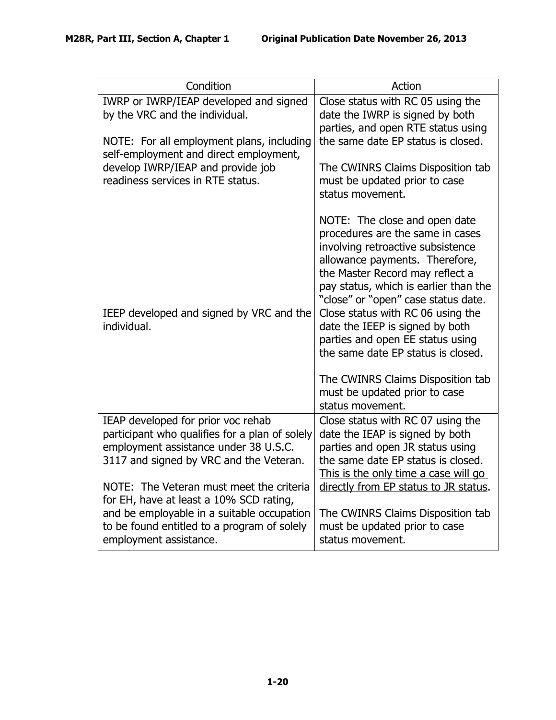| Condition                                                                                                                                                                                                  | Action                                                                                                                                                                                                                                                      |
|------------------------------------------------------------------------------------------------------------------------------------------------------------------------------------------------------------|-------------------------------------------------------------------------------------------------------------------------------------------------------------------------------------------------------------------------------------------------------------|
| IWRP or IWRP/IEAP developed and signed<br>by the VRC and the individual.<br>NOTE: For all employment plans, including                                                                                      | Close status with RC 05 using the<br>date the IWRP is signed by both<br>parties, and open RTE status using<br>the same date EP status is closed.                                                                                                            |
| self-employment and direct employment,<br>develop IWRP/IEAP and provide job<br>readiness services in RTE status.                                                                                           | The CWINRS Claims Disposition tab<br>must be updated prior to case<br>status movement.                                                                                                                                                                      |
|                                                                                                                                                                                                            | NOTE: The close and open date<br>procedures are the same in cases<br>involving retroactive subsistence<br>allowance payments. Therefore,<br>the Master Record may reflect a<br>pay status, which is earlier than the<br>"close" or "open" case status date. |
| IEEP developed and signed by VRC and the<br>individual.                                                                                                                                                    | Close status with RC 06 using the<br>date the IEEP is signed by both<br>parties and open EE status using<br>the same date EP status is closed.                                                                                                              |
|                                                                                                                                                                                                            | The CWINRS Claims Disposition tab<br>must be updated prior to case<br>status movement.                                                                                                                                                                      |
| IEAP developed for prior voc rehab<br>participant who qualifies for a plan of solely<br>employment assistance under 38 U.S.C.<br>3117 and signed by VRC and the Veteran.                                   | Close status with RC 07 using the<br>date the IEAP is signed by both<br>parties and open JR status using<br>the same date EP status is closed.<br>This is the only time a case will go                                                                      |
| NOTE: The Veteran must meet the criteria<br>for EH, have at least a 10% SCD rating,<br>and be employable in a suitable occupation<br>to be found entitled to a program of solely<br>employment assistance. | directly from EP status to JR status.<br>The CWINRS Claims Disposition tab<br>must be updated prior to case<br>status movement.                                                                                                                             |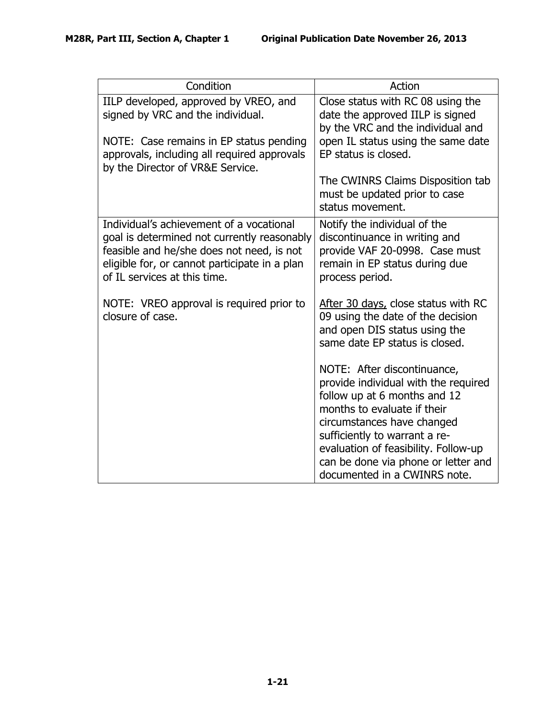| Condition                                                                                                                                                                                                             | Action                                                                                                                                                           |
|-----------------------------------------------------------------------------------------------------------------------------------------------------------------------------------------------------------------------|------------------------------------------------------------------------------------------------------------------------------------------------------------------|
| IILP developed, approved by VREO, and<br>signed by VRC and the individual.<br>NOTE: Case remains in EP status pending                                                                                                 | Close status with RC 08 using the<br>date the approved IILP is signed<br>by the VRC and the individual and<br>open IL status using the same date                 |
| approvals, including all required approvals<br>by the Director of VR&E Service.                                                                                                                                       | EP status is closed.                                                                                                                                             |
|                                                                                                                                                                                                                       | The CWINRS Claims Disposition tab<br>must be updated prior to case<br>status movement.                                                                           |
| Individual's achievement of a vocational<br>goal is determined not currently reasonably<br>feasible and he/she does not need, is not<br>eligible for, or cannot participate in a plan<br>of IL services at this time. | Notify the individual of the<br>discontinuance in writing and<br>provide VAF 20-0998. Case must<br>remain in EP status during due<br>process period.             |
| NOTE: VREO approval is required prior to<br>closure of case.                                                                                                                                                          | After 30 days, close status with RC<br>09 using the date of the decision<br>and open DIS status using the<br>same date EP status is closed.                      |
|                                                                                                                                                                                                                       | NOTE: After discontinuance,<br>provide individual with the required<br>follow up at 6 months and 12<br>months to evaluate if their<br>circumstances have changed |
|                                                                                                                                                                                                                       | sufficiently to warrant a re-<br>evaluation of feasibility. Follow-up<br>can be done via phone or letter and<br>documented in a CWINRS note.                     |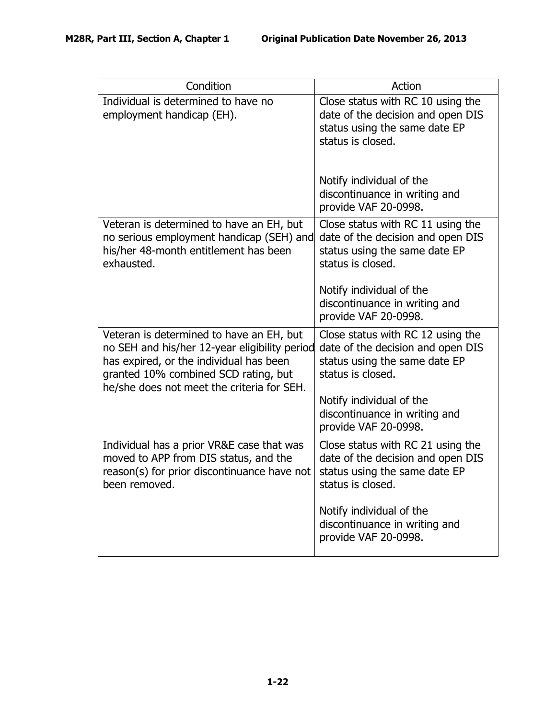| Condition                                                                                                                                                                                                                  | Action                                                                                                                       |
|----------------------------------------------------------------------------------------------------------------------------------------------------------------------------------------------------------------------------|------------------------------------------------------------------------------------------------------------------------------|
| Individual is determined to have no<br>employment handicap (EH).                                                                                                                                                           | Close status with RC 10 using the<br>date of the decision and open DIS<br>status using the same date EP<br>status is closed. |
|                                                                                                                                                                                                                            | Notify individual of the<br>discontinuance in writing and<br>provide VAF 20-0998.                                            |
| Veteran is determined to have an EH, but<br>no serious employment handicap (SEH) and<br>his/her 48-month entitlement has been<br>exhausted.                                                                                | Close status with RC 11 using the<br>date of the decision and open DIS<br>status using the same date EP<br>status is closed. |
|                                                                                                                                                                                                                            | Notify individual of the<br>discontinuance in writing and<br>provide VAF 20-0998.                                            |
| Veteran is determined to have an EH, but<br>no SEH and his/her 12-year eligibility period<br>has expired, or the individual has been<br>granted 10% combined SCD rating, but<br>he/she does not meet the criteria for SEH. | Close status with RC 12 using the<br>date of the decision and open DIS<br>status using the same date EP<br>status is closed. |
|                                                                                                                                                                                                                            | Notify individual of the<br>discontinuance in writing and<br>provide VAF 20-0998.                                            |
| Individual has a prior VR&E case that was<br>moved to APP from DIS status, and the<br>reason(s) for prior discontinuance have not<br>been removed.                                                                         | Close status with RC 21 using the<br>date of the decision and open DIS<br>status using the same date EP<br>status is closed. |
|                                                                                                                                                                                                                            | Notify individual of the<br>discontinuance in writing and<br>provide VAF 20-0998.                                            |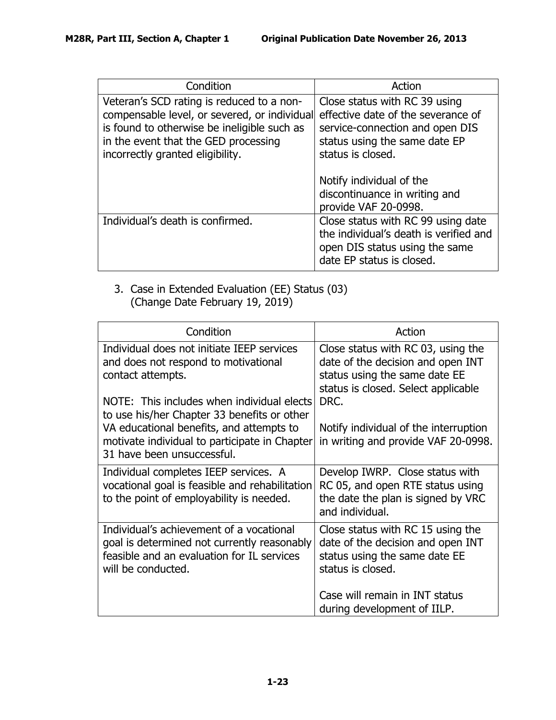| Condition                                                                                                                                                                                                            | Action                                                                                                                                                       |
|----------------------------------------------------------------------------------------------------------------------------------------------------------------------------------------------------------------------|--------------------------------------------------------------------------------------------------------------------------------------------------------------|
| Veteran's SCD rating is reduced to a non-<br>compensable level, or severed, or individual<br>is found to otherwise be ineligible such as<br>in the event that the GED processing<br>incorrectly granted eligibility. | Close status with RC 39 using<br>effective date of the severance of<br>service-connection and open DIS<br>status using the same date EP<br>status is closed. |
|                                                                                                                                                                                                                      | Notify individual of the<br>discontinuance in writing and<br>provide VAF 20-0998.                                                                            |
| Individual's death is confirmed.                                                                                                                                                                                     | Close status with RC 99 using date<br>the individual's death is verified and<br>open DIS status using the same<br>date EP status is closed.                  |

3. Case in Extended Evaluation (EE) Status (03) (Change Date February 19, 2019)

| Condition                                                                                                                                                                                                                                                                                                                       | Action                                                                                                                                                                                                                                  |
|---------------------------------------------------------------------------------------------------------------------------------------------------------------------------------------------------------------------------------------------------------------------------------------------------------------------------------|-----------------------------------------------------------------------------------------------------------------------------------------------------------------------------------------------------------------------------------------|
| Individual does not initiate IEEP services<br>and does not respond to motivational<br>contact attempts.<br>NOTE: This includes when individual elects<br>to use his/her Chapter 33 benefits or other<br>VA educational benefits, and attempts to<br>motivate individual to participate in Chapter<br>31 have been unsuccessful. | Close status with RC 03, using the<br>date of the decision and open INT<br>status using the same date EE<br>status is closed. Select applicable<br>DRC.<br>Notify individual of the interruption<br>in writing and provide VAF 20-0998. |
| Individual completes IEEP services. A<br>vocational goal is feasible and rehabilitation<br>to the point of employability is needed.                                                                                                                                                                                             | Develop IWRP. Close status with<br>RC 05, and open RTE status using<br>the date the plan is signed by VRC<br>and individual.                                                                                                            |
| Individual's achievement of a vocational<br>goal is determined not currently reasonably<br>feasible and an evaluation for IL services<br>will be conducted.                                                                                                                                                                     | Close status with RC 15 using the<br>date of the decision and open INT<br>status using the same date EE<br>status is closed.                                                                                                            |
|                                                                                                                                                                                                                                                                                                                                 | Case will remain in INT status<br>during development of IILP.                                                                                                                                                                           |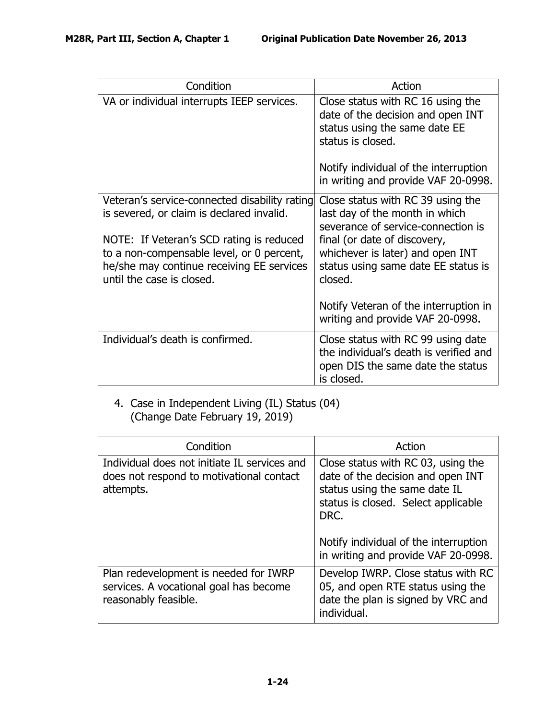| Condition                                                                                                                                                                                                                                                     | Action                                                                                                                                                                                                                          |
|---------------------------------------------------------------------------------------------------------------------------------------------------------------------------------------------------------------------------------------------------------------|---------------------------------------------------------------------------------------------------------------------------------------------------------------------------------------------------------------------------------|
| VA or individual interrupts IEEP services.                                                                                                                                                                                                                    | Close status with RC 16 using the<br>date of the decision and open INT<br>status using the same date EE<br>status is closed.<br>Notify individual of the interruption<br>in writing and provide VAF 20-0998.                    |
| Veteran's service-connected disability rating<br>is severed, or claim is declared invalid.<br>NOTE: If Veteran's SCD rating is reduced<br>to a non-compensable level, or 0 percent,<br>he/she may continue receiving EE services<br>until the case is closed. | Close status with RC 39 using the<br>last day of the month in which<br>severance of service-connection is<br>final (or date of discovery,<br>whichever is later) and open INT<br>status using same date EE status is<br>closed. |
|                                                                                                                                                                                                                                                               | Notify Veteran of the interruption in<br>writing and provide VAF 20-0998.                                                                                                                                                       |
| Individual's death is confirmed.                                                                                                                                                                                                                              | Close status with RC 99 using date<br>the individual's death is verified and<br>open DIS the same date the status<br>is closed.                                                                                                 |

# 4. Case in Independent Living (IL) Status (04) (Change Date February 19, 2019)

| Condition                                                                                               | Action                                                                                                                                                                                           |
|---------------------------------------------------------------------------------------------------------|--------------------------------------------------------------------------------------------------------------------------------------------------------------------------------------------------|
| Individual does not initiate IL services and<br>does not respond to motivational contact<br>attempts.   | Close status with RC 03, using the<br>date of the decision and open INT<br>status using the same date IL<br>status is closed. Select applicable<br>DRC.<br>Notify individual of the interruption |
|                                                                                                         | in writing and provide VAF 20-0998.                                                                                                                                                              |
| Plan redevelopment is needed for IWRP<br>services. A vocational goal has become<br>reasonably feasible. | Develop IWRP. Close status with RC<br>05, and open RTE status using the<br>date the plan is signed by VRC and<br>individual.                                                                     |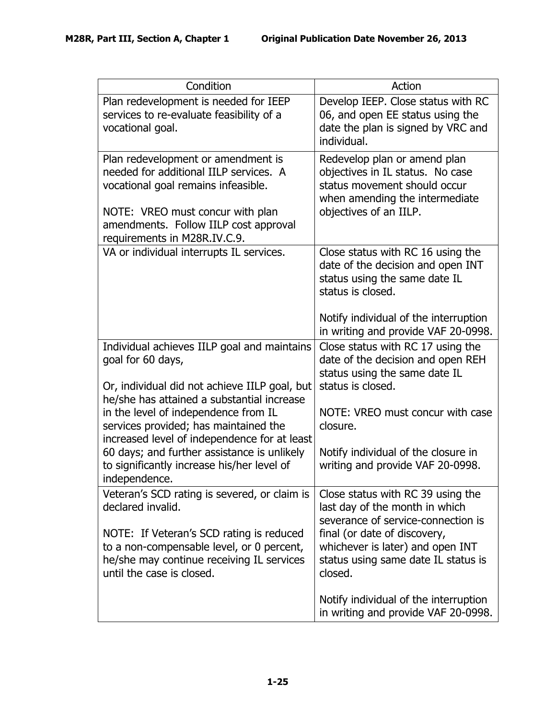| Condition                                                                                                                                                                                                                                                                                        | Action                                                                                                                                                                                                                          |
|--------------------------------------------------------------------------------------------------------------------------------------------------------------------------------------------------------------------------------------------------------------------------------------------------|---------------------------------------------------------------------------------------------------------------------------------------------------------------------------------------------------------------------------------|
| Plan redevelopment is needed for IEEP<br>services to re-evaluate feasibility of a<br>vocational goal.                                                                                                                                                                                            | Develop IEEP. Close status with RC<br>06, and open EE status using the<br>date the plan is signed by VRC and<br>individual.                                                                                                     |
| Plan redevelopment or amendment is<br>needed for additional IILP services. A<br>vocational goal remains infeasible.<br>NOTE: VREO must concur with plan<br>amendments. Follow IILP cost approval<br>requirements in M28R.IV.C.9.                                                                 | Redevelop plan or amend plan<br>objectives in IL status. No case<br>status movement should occur<br>when amending the intermediate<br>objectives of an IILP.                                                                    |
| VA or individual interrupts IL services.                                                                                                                                                                                                                                                         | Close status with RC 16 using the<br>date of the decision and open INT<br>status using the same date IL<br>status is closed.<br>Notify individual of the interruption<br>in writing and provide VAF 20-0998.                    |
| Individual achieves IILP goal and maintains<br>goal for 60 days,<br>Or, individual did not achieve IILP goal, but<br>he/she has attained a substantial increase<br>in the level of independence from IL<br>services provided; has maintained the<br>increased level of independence for at least | Close status with RC 17 using the<br>date of the decision and open REH<br>status using the same date IL<br>status is closed.<br>NOTE: VREO must concur with case<br>closure.                                                    |
| 60 days; and further assistance is unlikely<br>to significantly increase his/her level of<br>independence.                                                                                                                                                                                       | Notify individual of the closure in<br>writing and provide VAF 20-0998.                                                                                                                                                         |
| Veteran's SCD rating is severed, or claim is<br>declared invalid.<br>NOTE: If Veteran's SCD rating is reduced<br>to a non-compensable level, or 0 percent,<br>he/she may continue receiving IL services<br>until the case is closed.                                                             | Close status with RC 39 using the<br>last day of the month in which<br>severance of service-connection is<br>final (or date of discovery,<br>whichever is later) and open INT<br>status using same date IL status is<br>closed. |
|                                                                                                                                                                                                                                                                                                  | Notify individual of the interruption<br>in writing and provide VAF 20-0998.                                                                                                                                                    |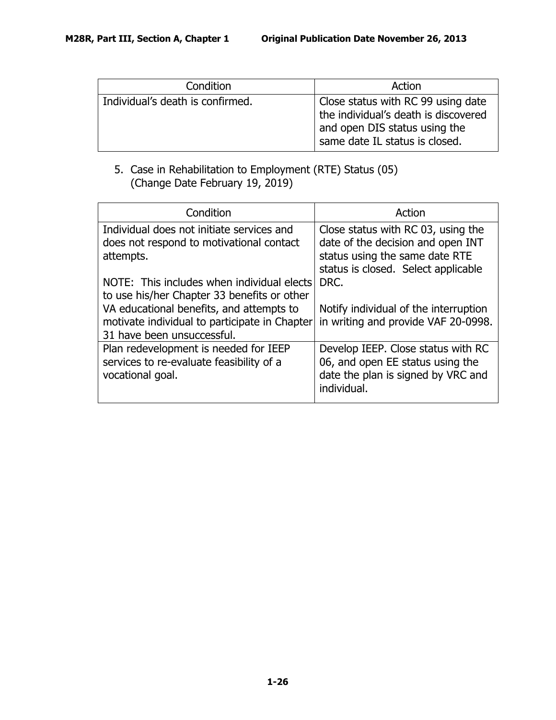| Condition                        | Action                                                                                                                                        |
|----------------------------------|-----------------------------------------------------------------------------------------------------------------------------------------------|
| Individual's death is confirmed. | Close status with RC 99 using date<br>the individual's death is discovered<br>and open DIS status using the<br>same date IL status is closed. |

# 5. Case in Rehabilitation to Employment (RTE) Status (05) (Change Date February 19, 2019)

| Condition                                     | Action                                |
|-----------------------------------------------|---------------------------------------|
| Individual does not initiate services and     | Close status with RC 03, using the    |
| does not respond to motivational contact      | date of the decision and open INT     |
| attempts.                                     | status using the same date RTE        |
|                                               | status is closed. Select applicable   |
| NOTE: This includes when individual elects    | DRC.                                  |
| to use his/her Chapter 33 benefits or other   |                                       |
| VA educational benefits, and attempts to      | Notify individual of the interruption |
| motivate individual to participate in Chapter | in writing and provide VAF 20-0998.   |
| 31 have been unsuccessful.                    |                                       |
| Plan redevelopment is needed for IEEP         | Develop IEEP. Close status with RC    |
| services to re-evaluate feasibility of a      | 06, and open EE status using the      |
| vocational goal.                              | date the plan is signed by VRC and    |
|                                               | individual.                           |
|                                               |                                       |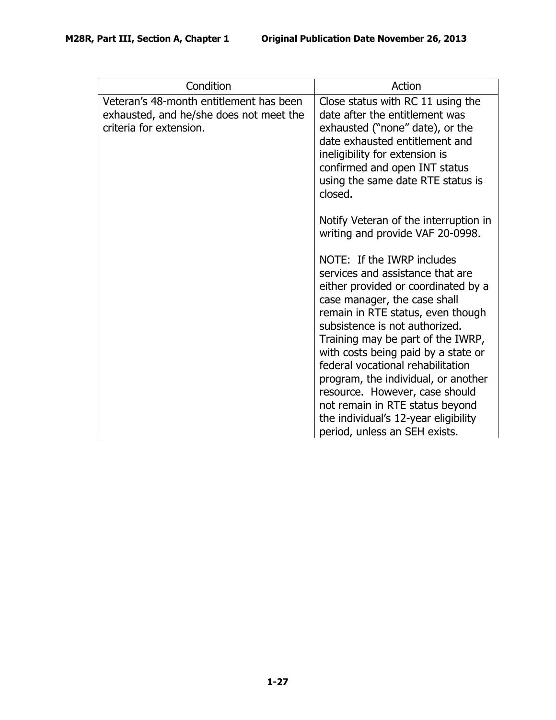| Condition                                                                                                     | Action                                                                                                                                                                                                                                                                                                                                                                                                                                                                                                             |
|---------------------------------------------------------------------------------------------------------------|--------------------------------------------------------------------------------------------------------------------------------------------------------------------------------------------------------------------------------------------------------------------------------------------------------------------------------------------------------------------------------------------------------------------------------------------------------------------------------------------------------------------|
| Veteran's 48-month entitlement has been<br>exhausted, and he/she does not meet the<br>criteria for extension. | Close status with RC 11 using the<br>date after the entitlement was<br>exhausted ("none" date), or the<br>date exhausted entitlement and<br>ineligibility for extension is<br>confirmed and open INT status<br>using the same date RTE status is<br>closed.                                                                                                                                                                                                                                                        |
|                                                                                                               | Notify Veteran of the interruption in<br>writing and provide VAF 20-0998.                                                                                                                                                                                                                                                                                                                                                                                                                                          |
|                                                                                                               | NOTE: If the IWRP includes<br>services and assistance that are<br>either provided or coordinated by a<br>case manager, the case shall<br>remain in RTE status, even though<br>subsistence is not authorized.<br>Training may be part of the IWRP,<br>with costs being paid by a state or<br>federal vocational rehabilitation<br>program, the individual, or another<br>resource. However, case should<br>not remain in RTE status beyond<br>the individual's 12-year eligibility<br>period, unless an SEH exists. |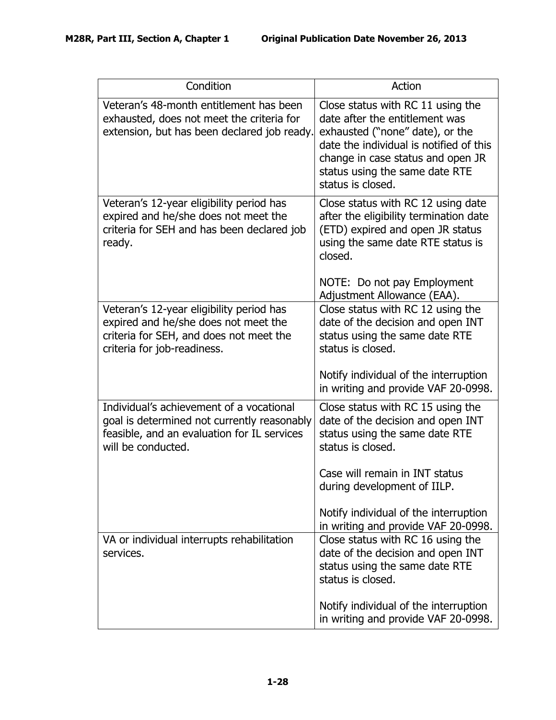| Condition                                                                                                                                                    | Action                                                                                                                                                                                                                                        |
|--------------------------------------------------------------------------------------------------------------------------------------------------------------|-----------------------------------------------------------------------------------------------------------------------------------------------------------------------------------------------------------------------------------------------|
| Veteran's 48-month entitlement has been<br>exhausted, does not meet the criteria for<br>extension, but has been declared job ready.                          | Close status with RC 11 using the<br>date after the entitlement was<br>exhausted ("none" date), or the<br>date the individual is notified of this<br>change in case status and open JR<br>status using the same date RTE<br>status is closed. |
| Veteran's 12-year eligibility period has<br>expired and he/she does not meet the<br>criteria for SEH and has been declared job<br>ready.                     | Close status with RC 12 using date<br>after the eligibility termination date<br>(ETD) expired and open JR status<br>using the same date RTE status is<br>closed.<br>NOTE: Do not pay Employment<br>Adjustment Allowance (EAA).                |
| Veteran's 12-year eligibility period has<br>expired and he/she does not meet the<br>criteria for SEH, and does not meet the<br>criteria for job-readiness.   | Close status with RC 12 using the<br>date of the decision and open INT<br>status using the same date RTE<br>status is closed.<br>Notify individual of the interruption                                                                        |
|                                                                                                                                                              | in writing and provide VAF 20-0998.                                                                                                                                                                                                           |
| Individual's achievement of a vocational<br>goal is determined not currently reasonably<br>feasible, and an evaluation for IL services<br>will be conducted. | Close status with RC 15 using the<br>date of the decision and open INT<br>status using the same date RTE<br>status is closed.                                                                                                                 |
|                                                                                                                                                              | Case will remain in INT status<br>during development of IILP.                                                                                                                                                                                 |
|                                                                                                                                                              | Notify individual of the interruption<br>in writing and provide VAF 20-0998.                                                                                                                                                                  |
| VA or individual interrupts rehabilitation<br>services.                                                                                                      | Close status with RC 16 using the<br>date of the decision and open INT<br>status using the same date RTE<br>status is closed.                                                                                                                 |
|                                                                                                                                                              | Notify individual of the interruption<br>in writing and provide VAF 20-0998.                                                                                                                                                                  |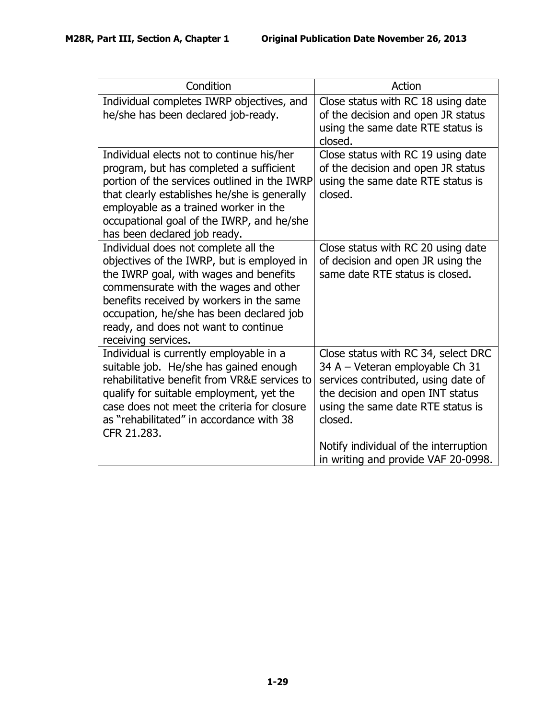| Condition                                                                                                                                                                                                                                                                                                                    | Action                                                                                                                                                                                            |
|------------------------------------------------------------------------------------------------------------------------------------------------------------------------------------------------------------------------------------------------------------------------------------------------------------------------------|---------------------------------------------------------------------------------------------------------------------------------------------------------------------------------------------------|
| Individual completes IWRP objectives, and<br>he/she has been declared job-ready.                                                                                                                                                                                                                                             | Close status with RC 18 using date<br>of the decision and open JR status<br>using the same date RTE status is<br>closed.                                                                          |
| Individual elects not to continue his/her<br>program, but has completed a sufficient<br>portion of the services outlined in the IWRP<br>that clearly establishes he/she is generally<br>employable as a trained worker in the<br>occupational goal of the IWRP, and he/she<br>has been declared job ready.                   | Close status with RC 19 using date<br>of the decision and open JR status<br>using the same date RTE status is<br>closed.                                                                          |
| Individual does not complete all the<br>objectives of the IWRP, but is employed in<br>the IWRP goal, with wages and benefits<br>commensurate with the wages and other<br>benefits received by workers in the same<br>occupation, he/she has been declared job<br>ready, and does not want to continue<br>receiving services. | Close status with RC 20 using date<br>of decision and open JR using the<br>same date RTE status is closed.                                                                                        |
| Individual is currently employable in a<br>suitable job. He/she has gained enough<br>rehabilitative benefit from VR&E services to<br>qualify for suitable employment, yet the<br>case does not meet the criteria for closure<br>as "rehabilitated" in accordance with 38<br>CFR 21.283.                                      | Close status with RC 34, select DRC<br>34 A - Veteran employable Ch 31<br>services contributed, using date of<br>the decision and open INT status<br>using the same date RTE status is<br>closed. |
|                                                                                                                                                                                                                                                                                                                              | Notify individual of the interruption<br>in writing and provide VAF 20-0998.                                                                                                                      |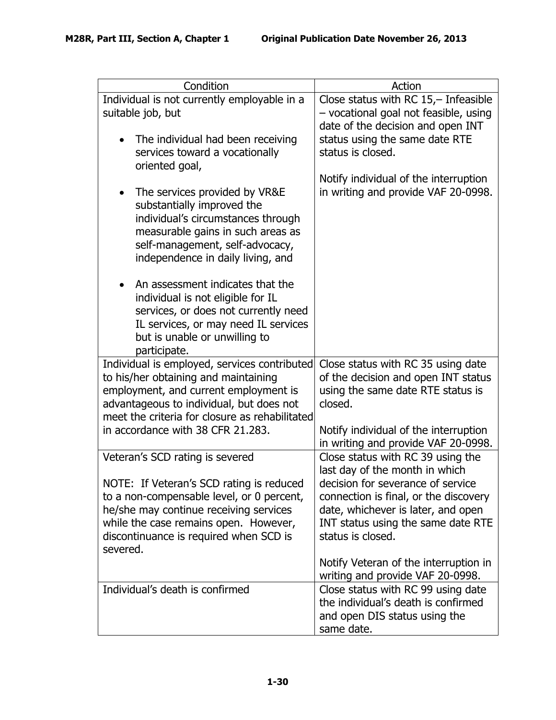| Condition                                                                                                                                                                                                                      | Action                                                                                                                                                                      |
|--------------------------------------------------------------------------------------------------------------------------------------------------------------------------------------------------------------------------------|-----------------------------------------------------------------------------------------------------------------------------------------------------------------------------|
| Individual is not currently employable in a<br>suitable job, but                                                                                                                                                               | Close status with RC $15,-$ Infeasible<br>- vocational goal not feasible, using<br>date of the decision and open INT                                                        |
| The individual had been receiving<br>$\bullet$<br>services toward a vocationally<br>oriented goal,                                                                                                                             | status using the same date RTE<br>status is closed.                                                                                                                         |
| The services provided by VR&E<br>substantially improved the<br>individual's circumstances through<br>measurable gains in such areas as<br>self-management, self-advocacy,<br>independence in daily living, and                 | Notify individual of the interruption<br>in writing and provide VAF 20-0998.                                                                                                |
| An assessment indicates that the<br>individual is not eligible for IL<br>services, or does not currently need<br>IL services, or may need IL services<br>but is unable or unwilling to<br>participate.                         |                                                                                                                                                                             |
| Individual is employed, services contributed<br>to his/her obtaining and maintaining<br>employment, and current employment is<br>advantageous to individual, but does not                                                      | Close status with RC 35 using date<br>of the decision and open INT status<br>using the same date RTE status is<br>closed.                                                   |
| meet the criteria for closure as rehabilitated<br>in accordance with 38 CFR 21.283.                                                                                                                                            | Notify individual of the interruption<br>in writing and provide VAF 20-0998.                                                                                                |
| Veteran's SCD rating is severed                                                                                                                                                                                                | Close status with RC 39 using the<br>last day of the month in which                                                                                                         |
| NOTE: If Veteran's SCD rating is reduced<br>to a non-compensable level, or 0 percent,<br>he/she may continue receiving services<br>while the case remains open. However,<br>discontinuance is required when SCD is<br>severed. | decision for severance of service<br>connection is final, or the discovery<br>date, whichever is later, and open<br>INT status using the same date RTE<br>status is closed. |
|                                                                                                                                                                                                                                | Notify Veteran of the interruption in<br>writing and provide VAF 20-0998.                                                                                                   |
| Individual's death is confirmed                                                                                                                                                                                                | Close status with RC 99 using date<br>the individual's death is confirmed<br>and open DIS status using the<br>same date.                                                    |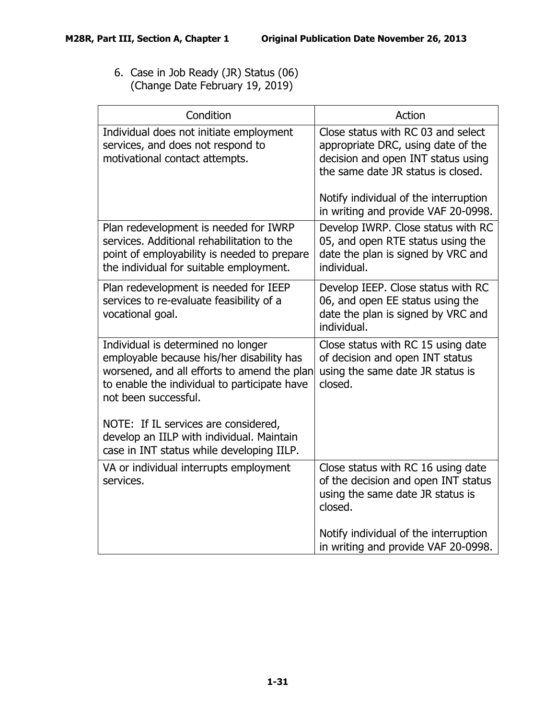6. Case in Job Ready (JR) Status (06) (Change Date February 19, 2019)

| Condition                                                                                                                                                                                              | Action                                                                                                                                                                                        |
|--------------------------------------------------------------------------------------------------------------------------------------------------------------------------------------------------------|-----------------------------------------------------------------------------------------------------------------------------------------------------------------------------------------------|
| Individual does not initiate employment<br>services, and does not respond to<br>motivational contact attempts.                                                                                         | Close status with RC 03 and select<br>appropriate DRC, using date of the<br>decision and open INT status using<br>the same date JR status is closed.<br>Notify individual of the interruption |
|                                                                                                                                                                                                        | in writing and provide VAF 20-0998.                                                                                                                                                           |
| Plan redevelopment is needed for IWRP<br>services. Additional rehabilitation to the<br>point of employability is needed to prepare<br>the individual for suitable employment.                          | Develop IWRP. Close status with RC<br>05, and open RTE status using the<br>date the plan is signed by VRC and<br>individual.                                                                  |
| Plan redevelopment is needed for IEEP<br>services to re-evaluate feasibility of a<br>vocational goal.                                                                                                  | Develop IEEP. Close status with RC<br>06, and open EE status using the<br>date the plan is signed by VRC and<br>individual.                                                                   |
| Individual is determined no longer<br>employable because his/her disability has<br>worsened, and all efforts to amend the plan<br>to enable the individual to participate have<br>not been successful. | Close status with RC 15 using date<br>of decision and open INT status<br>using the same date JR status is<br>closed.                                                                          |
| NOTE: If IL services are considered,<br>develop an IILP with individual. Maintain<br>case in INT status while developing IILP.                                                                         |                                                                                                                                                                                               |
| VA or individual interrupts employment<br>services.                                                                                                                                                    | Close status with RC 16 using date<br>of the decision and open INT status<br>using the same date JR status is<br>closed.                                                                      |
|                                                                                                                                                                                                        | Notify individual of the interruption<br>in writing and provide VAF 20-0998.                                                                                                                  |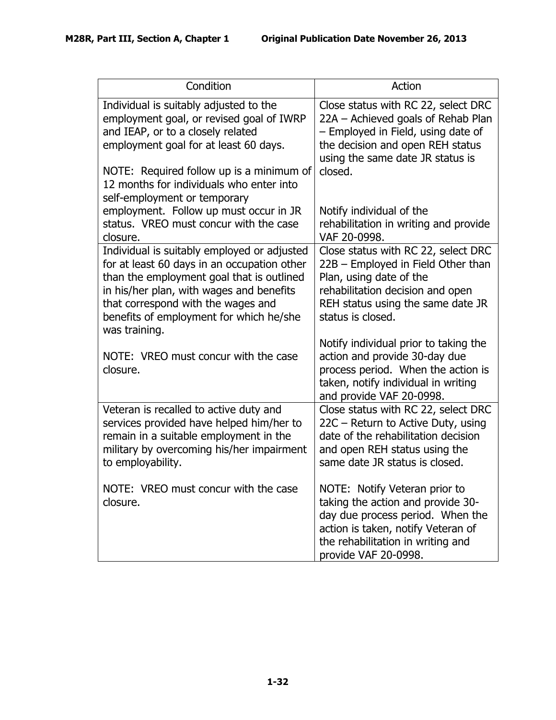| Condition                                                                                                                                                                                                                                                                                                                          | Action                                                                                                                                                                                                                         |
|------------------------------------------------------------------------------------------------------------------------------------------------------------------------------------------------------------------------------------------------------------------------------------------------------------------------------------|--------------------------------------------------------------------------------------------------------------------------------------------------------------------------------------------------------------------------------|
| Individual is suitably adjusted to the<br>employment goal, or revised goal of IWRP<br>and IEAP, or to a closely related<br>employment goal for at least 60 days.<br>NOTE: Required follow up is a minimum of<br>12 months for individuals who enter into<br>self-employment or temporary<br>employment. Follow up must occur in JR | Close status with RC 22, select DRC<br>22A - Achieved goals of Rehab Plan<br>- Employed in Field, using date of<br>the decision and open REH status<br>using the same date JR status is<br>closed.<br>Notify individual of the |
| status. VREO must concur with the case<br>closure.                                                                                                                                                                                                                                                                                 | rehabilitation in writing and provide<br>VAF 20-0998.                                                                                                                                                                          |
| Individual is suitably employed or adjusted<br>for at least 60 days in an occupation other<br>than the employment goal that is outlined<br>in his/her plan, with wages and benefits<br>that correspond with the wages and<br>benefits of employment for which he/she<br>was training.                                              | Close status with RC 22, select DRC<br>22B - Employed in Field Other than<br>Plan, using date of the<br>rehabilitation decision and open<br>REH status using the same date JR<br>status is closed.                             |
| NOTE: VREO must concur with the case<br>closure.                                                                                                                                                                                                                                                                                   | Notify individual prior to taking the<br>action and provide 30-day due<br>process period. When the action is<br>taken, notify individual in writing<br>and provide VAF 20-0998.                                                |
| Veteran is recalled to active duty and<br>services provided have helped him/her to<br>remain in a suitable employment in the<br>military by overcoming his/her impairment<br>to employability.                                                                                                                                     | Close status with RC 22, select DRC<br>22C - Return to Active Duty, using<br>date of the rehabilitation decision<br>and open REH status using the<br>same date JR status is closed.                                            |
| NOTE: VREO must concur with the case<br>closure.                                                                                                                                                                                                                                                                                   | NOTE: Notify Veteran prior to<br>taking the action and provide 30-<br>day due process period. When the<br>action is taken, notify Veteran of<br>the rehabilitation in writing and<br>provide VAF 20-0998.                      |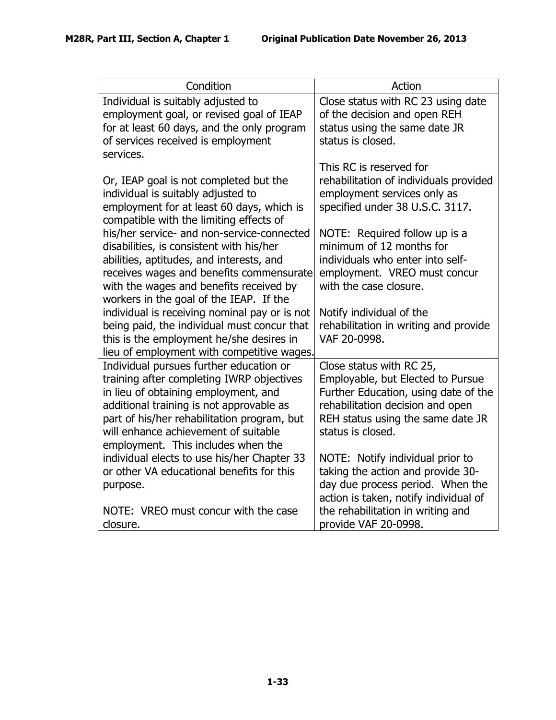| Condition                                                                                                                                                                                                                                                                                             | Action                                                                                                                                                                                              |
|-------------------------------------------------------------------------------------------------------------------------------------------------------------------------------------------------------------------------------------------------------------------------------------------------------|-----------------------------------------------------------------------------------------------------------------------------------------------------------------------------------------------------|
| Individual is suitably adjusted to<br>employment goal, or revised goal of IEAP<br>for at least 60 days, and the only program<br>of services received is employment<br>services.                                                                                                                       | Close status with RC 23 using date<br>of the decision and open REH<br>status using the same date JR<br>status is closed.                                                                            |
| Or, IEAP goal is not completed but the<br>individual is suitably adjusted to<br>employment for at least 60 days, which is<br>compatible with the limiting effects of                                                                                                                                  | This RC is reserved for<br>rehabilitation of individuals provided<br>employment services only as<br>specified under 38 U.S.C. 3117.                                                                 |
| his/her service- and non-service-connected<br>disabilities, is consistent with his/her<br>abilities, aptitudes, and interests, and<br>receives wages and benefits commensurate<br>with the wages and benefits received by<br>workers in the goal of the IEAP. If the                                  | NOTE: Required follow up is a<br>minimum of 12 months for<br>individuals who enter into self-<br>employment. VREO must concur<br>with the case closure.                                             |
| individual is receiving nominal pay or is not<br>being paid, the individual must concur that<br>this is the employment he/she desires in<br>lieu of employment with competitive wages.                                                                                                                | Notify individual of the<br>rehabilitation in writing and provide<br>VAF 20-0998.                                                                                                                   |
| Individual pursues further education or<br>training after completing IWRP objectives<br>in lieu of obtaining employment, and<br>additional training is not approvable as<br>part of his/her rehabilitation program, but<br>will enhance achievement of suitable<br>employment. This includes when the | Close status with RC 25,<br>Employable, but Elected to Pursue<br>Further Education, using date of the<br>rehabilitation decision and open<br>REH status using the same date JR<br>status is closed. |
| individual elects to use his/her Chapter 33<br>or other VA educational benefits for this<br>purpose.<br>NOTE: VREO must concur with the case                                                                                                                                                          | NOTE: Notify individual prior to<br>taking the action and provide 30-<br>day due process period. When the<br>action is taken, notify individual of<br>the rehabilitation in writing and             |
| closure.                                                                                                                                                                                                                                                                                              | provide VAF 20-0998.                                                                                                                                                                                |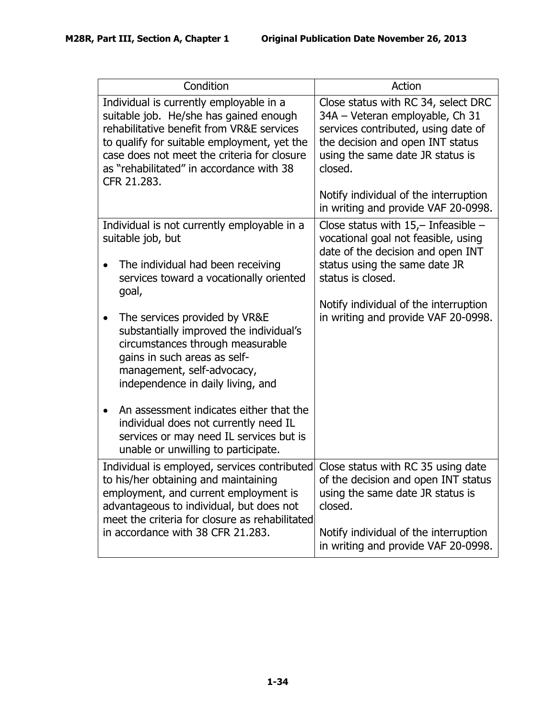| Condition                                                                                                                                                                                                                                                                               | Action                                                                                                                                                                                                                                    |
|-----------------------------------------------------------------------------------------------------------------------------------------------------------------------------------------------------------------------------------------------------------------------------------------|-------------------------------------------------------------------------------------------------------------------------------------------------------------------------------------------------------------------------------------------|
| Individual is currently employable in a<br>suitable job. He/she has gained enough<br>rehabilitative benefit from VR&E services<br>to qualify for suitable employment, yet the<br>case does not meet the criteria for closure<br>as "rehabilitated" in accordance with 38<br>CFR 21.283. | Close status with RC 34, select DRC<br>34A - Veteran employable, Ch 31<br>services contributed, using date of<br>the decision and open INT status<br>using the same date JR status is<br>closed.<br>Notify individual of the interruption |
|                                                                                                                                                                                                                                                                                         | in writing and provide VAF 20-0998.                                                                                                                                                                                                       |
| Individual is not currently employable in a<br>suitable job, but                                                                                                                                                                                                                        | Close status with $15$ , - Infeasible -<br>vocational goal not feasible, using<br>date of the decision and open INT                                                                                                                       |
| The individual had been receiving<br>services toward a vocationally oriented<br>goal,                                                                                                                                                                                                   | status using the same date JR<br>status is closed.                                                                                                                                                                                        |
| The services provided by VR&E<br>substantially improved the individual's<br>circumstances through measurable<br>gains in such areas as self-<br>management, self-advocacy,<br>independence in daily living, and                                                                         | Notify individual of the interruption<br>in writing and provide VAF 20-0998.                                                                                                                                                              |
| An assessment indicates either that the<br>individual does not currently need IL<br>services or may need IL services but is<br>unable or unwilling to participate.                                                                                                                      |                                                                                                                                                                                                                                           |
| Individual is employed, services contributed<br>to his/her obtaining and maintaining<br>employment, and current employment is<br>advantageous to individual, but does not<br>meet the criteria for closure as rehabilitated<br>in accordance with 38 CFR 21.283.                        | Close status with RC 35 using date<br>of the decision and open INT status<br>using the same date JR status is<br>closed.<br>Notify individual of the interruption                                                                         |
|                                                                                                                                                                                                                                                                                         | in writing and provide VAF 20-0998.                                                                                                                                                                                                       |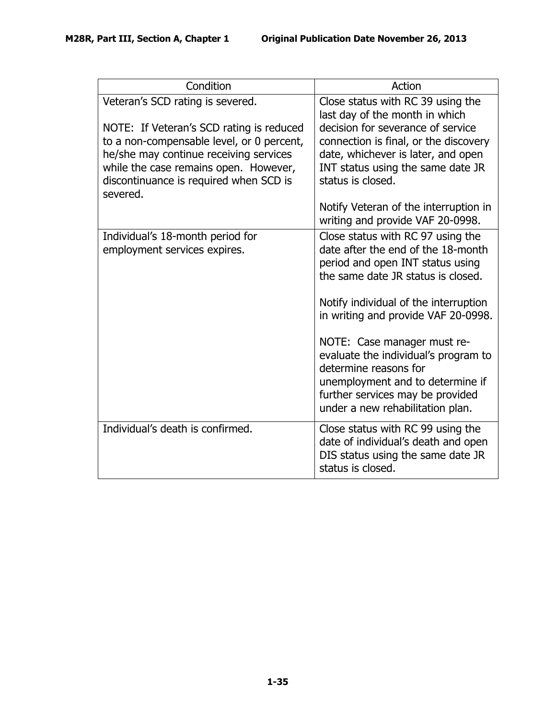| Condition                                                                                                                                                                                                                      | Action                                                                                                                                                                                                                                                                                                                                                                                                                                        |
|--------------------------------------------------------------------------------------------------------------------------------------------------------------------------------------------------------------------------------|-----------------------------------------------------------------------------------------------------------------------------------------------------------------------------------------------------------------------------------------------------------------------------------------------------------------------------------------------------------------------------------------------------------------------------------------------|
| Veteran's SCD rating is severed.                                                                                                                                                                                               | Close status with RC 39 using the<br>last day of the month in which                                                                                                                                                                                                                                                                                                                                                                           |
| NOTE: If Veteran's SCD rating is reduced<br>to a non-compensable level, or 0 percent,<br>he/she may continue receiving services<br>while the case remains open. However,<br>discontinuance is required when SCD is<br>severed. | decision for severance of service<br>connection is final, or the discovery<br>date, whichever is later, and open<br>INT status using the same date JR<br>status is closed.                                                                                                                                                                                                                                                                    |
|                                                                                                                                                                                                                                | Notify Veteran of the interruption in<br>writing and provide VAF 20-0998.                                                                                                                                                                                                                                                                                                                                                                     |
| Individual's 18-month period for<br>employment services expires.                                                                                                                                                               | Close status with RC 97 using the<br>date after the end of the 18-month<br>period and open INT status using<br>the same date JR status is closed.<br>Notify individual of the interruption<br>in writing and provide VAF 20-0998.<br>NOTE: Case manager must re-<br>evaluate the individual's program to<br>determine reasons for<br>unemployment and to determine if<br>further services may be provided<br>under a new rehabilitation plan. |
| Individual's death is confirmed.                                                                                                                                                                                               | Close status with RC 99 using the<br>date of individual's death and open<br>DIS status using the same date JR<br>status is closed.                                                                                                                                                                                                                                                                                                            |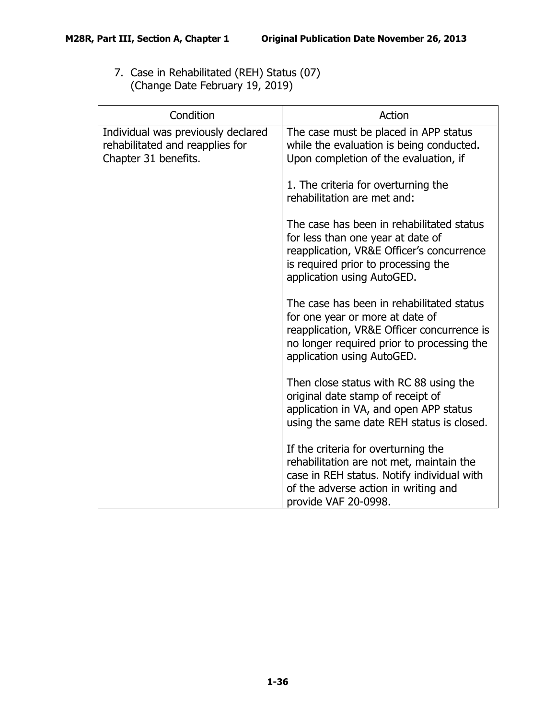7. Case in Rehabilitated (REH) Status (07) (Change Date February 19, 2019)

| Condition                                                                                     | Action                                                                                                                                                                                                 |
|-----------------------------------------------------------------------------------------------|--------------------------------------------------------------------------------------------------------------------------------------------------------------------------------------------------------|
| Individual was previously declared<br>rehabilitated and reapplies for<br>Chapter 31 benefits. | The case must be placed in APP status<br>while the evaluation is being conducted.<br>Upon completion of the evaluation, if                                                                             |
|                                                                                               | 1. The criteria for overturning the<br>rehabilitation are met and:                                                                                                                                     |
|                                                                                               | The case has been in rehabilitated status<br>for less than one year at date of<br>reapplication, VR&E Officer's concurrence<br>is required prior to processing the<br>application using AutoGED.       |
|                                                                                               | The case has been in rehabilitated status<br>for one year or more at date of<br>reapplication, VR&E Officer concurrence is<br>no longer required prior to processing the<br>application using AutoGED. |
|                                                                                               | Then close status with RC 88 using the<br>original date stamp of receipt of<br>application in VA, and open APP status<br>using the same date REH status is closed.                                     |
|                                                                                               | If the criteria for overturning the<br>rehabilitation are not met, maintain the<br>case in REH status. Notify individual with<br>of the adverse action in writing and<br>provide VAF 20-0998.          |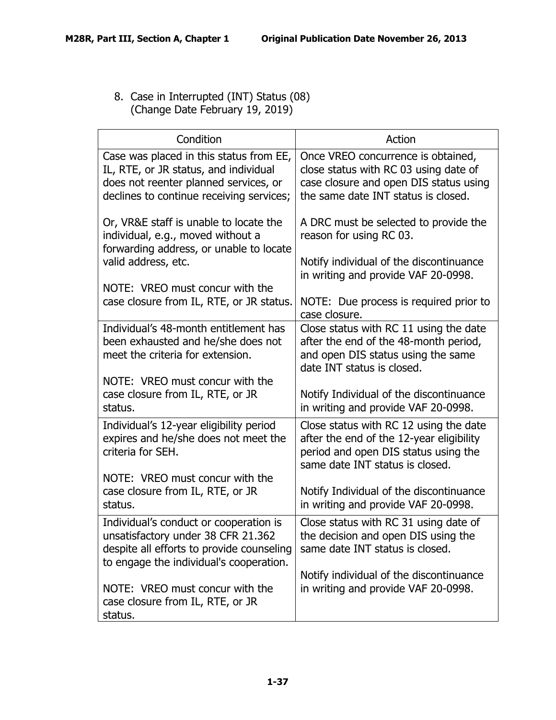8. Case in Interrupted (INT) Status (08) (Change Date February 19, 2019)

| Condition                                                                                                                                                             | Action                                                                                                                                                        |
|-----------------------------------------------------------------------------------------------------------------------------------------------------------------------|---------------------------------------------------------------------------------------------------------------------------------------------------------------|
| Case was placed in this status from EE,<br>IL, RTE, or JR status, and individual<br>does not reenter planned services, or<br>declines to continue receiving services; | Once VREO concurrence is obtained,<br>close status with RC 03 using date of<br>case closure and open DIS status using<br>the same date INT status is closed.  |
| Or, VR&E staff is unable to locate the<br>individual, e.g., moved without a<br>forwarding address, or unable to locate<br>valid address, etc.                         | A DRC must be selected to provide the<br>reason for using RC 03.<br>Notify individual of the discontinuance<br>in writing and provide VAF 20-0998.            |
| NOTE: VREO must concur with the<br>case closure from IL, RTE, or JR status.                                                                                           | NOTE: Due process is required prior to<br>case closure.                                                                                                       |
| Individual's 48-month entitlement has<br>been exhausted and he/she does not<br>meet the criteria for extension.                                                       | Close status with RC 11 using the date<br>after the end of the 48-month period,<br>and open DIS status using the same<br>date INT status is closed.           |
| NOTE: VREO must concur with the<br>case closure from IL, RTE, or JR<br>status.                                                                                        | Notify Individual of the discontinuance<br>in writing and provide VAF 20-0998.                                                                                |
| Individual's 12-year eligibility period<br>expires and he/she does not meet the<br>criteria for SEH.                                                                  | Close status with RC 12 using the date<br>after the end of the 12-year eligibility<br>period and open DIS status using the<br>same date INT status is closed. |
| NOTE: VREO must concur with the<br>case closure from IL, RTE, or JR<br>status.                                                                                        | Notify Individual of the discontinuance<br>in writing and provide VAF 20-0998.                                                                                |
| Individual's conduct or cooperation is<br>unsatisfactory under 38 CFR 21.362<br>despite all efforts to provide counseling<br>to engage the individual's cooperation.  | Close status with RC 31 using date of<br>the decision and open DIS using the<br>same date INT status is closed.                                               |
| NOTE: VREO must concur with the<br>case closure from IL, RTE, or JR<br>status.                                                                                        | Notify individual of the discontinuance<br>in writing and provide VAF 20-0998.                                                                                |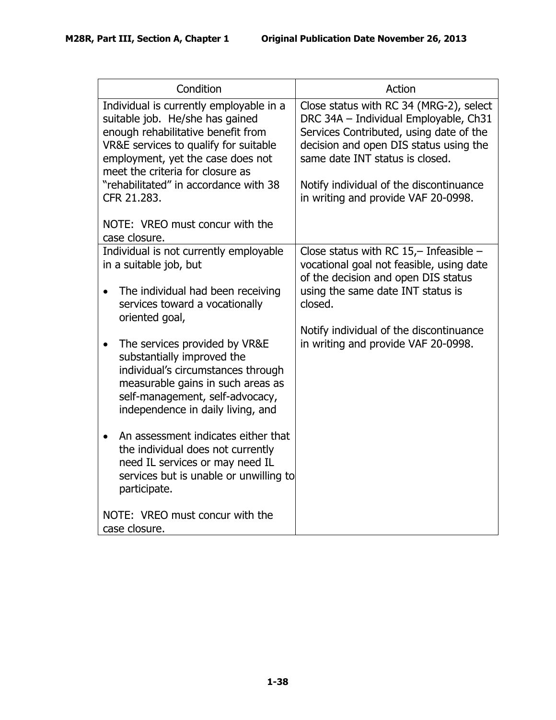| Condition                                                                                                                                                                                                                                                                                                                     | Action                                                                                                                                                                                                                                                                                     |
|-------------------------------------------------------------------------------------------------------------------------------------------------------------------------------------------------------------------------------------------------------------------------------------------------------------------------------|--------------------------------------------------------------------------------------------------------------------------------------------------------------------------------------------------------------------------------------------------------------------------------------------|
| Individual is currently employable in a<br>suitable job. He/she has gained<br>enough rehabilitative benefit from<br>VR&E services to qualify for suitable<br>employment, yet the case does not<br>meet the criteria for closure as<br>"rehabilitated" in accordance with 38<br>CFR 21.283.<br>NOTE: VREO must concur with the | Close status with RC 34 (MRG-2), select<br>DRC 34A - Individual Employable, Ch31<br>Services Contributed, using date of the<br>decision and open DIS status using the<br>same date INT status is closed.<br>Notify individual of the discontinuance<br>in writing and provide VAF 20-0998. |
| case closure.                                                                                                                                                                                                                                                                                                                 |                                                                                                                                                                                                                                                                                            |
| Individual is not currently employable<br>in a suitable job, but<br>The individual had been receiving<br>$\bullet$<br>services toward a vocationally<br>oriented goal,                                                                                                                                                        | Close status with RC $15,-$ Infeasible -<br>vocational goal not feasible, using date<br>of the decision and open DIS status<br>using the same date INT status is<br>closed.<br>Notify individual of the discontinuance                                                                     |
| The services provided by VR&E<br>$\bullet$<br>substantially improved the<br>individual's circumstances through<br>measurable gains in such areas as<br>self-management, self-advocacy,<br>independence in daily living, and                                                                                                   | in writing and provide VAF 20-0998.                                                                                                                                                                                                                                                        |
| An assessment indicates either that<br>$\bullet$<br>the individual does not currently<br>need IL services or may need IL<br>services but is unable or unwilling to<br>participate.                                                                                                                                            |                                                                                                                                                                                                                                                                                            |
| NOTE: VREO must concur with the<br>case closure.                                                                                                                                                                                                                                                                              |                                                                                                                                                                                                                                                                                            |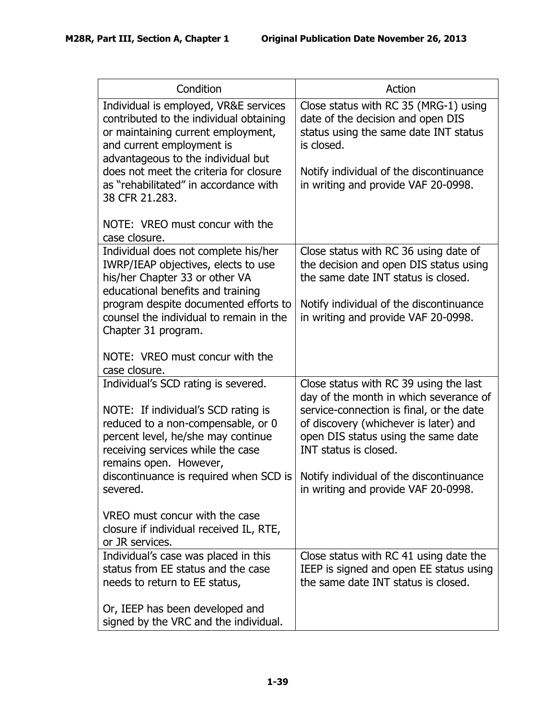| Condition                                                                                                                                                                                                                                                                                      | Action                                                                                                                                                                                                              |
|------------------------------------------------------------------------------------------------------------------------------------------------------------------------------------------------------------------------------------------------------------------------------------------------|---------------------------------------------------------------------------------------------------------------------------------------------------------------------------------------------------------------------|
| Individual is employed, VR&E services<br>contributed to the individual obtaining<br>or maintaining current employment,<br>and current employment is<br>advantageous to the individual but<br>does not meet the criteria for closure<br>as "rehabilitated" in accordance with<br>38 CFR 21.283. | Close status with RC 35 (MRG-1) using<br>date of the decision and open DIS<br>status using the same date INT status<br>is closed.<br>Notify individual of the discontinuance<br>in writing and provide VAF 20-0998. |
| NOTE: VREO must concur with the<br>case closure.                                                                                                                                                                                                                                               |                                                                                                                                                                                                                     |
| Individual does not complete his/her<br>IWRP/IEAP objectives, elects to use<br>his/her Chapter 33 or other VA<br>educational benefits and training                                                                                                                                             | Close status with RC 36 using date of<br>the decision and open DIS status using<br>the same date INT status is closed.                                                                                              |
| program despite documented efforts to<br>counsel the individual to remain in the<br>Chapter 31 program.                                                                                                                                                                                        | Notify individual of the discontinuance<br>in writing and provide VAF 20-0998.                                                                                                                                      |
| NOTE: VREO must concur with the<br>case closure.                                                                                                                                                                                                                                               |                                                                                                                                                                                                                     |
| Individual's SCD rating is severed.                                                                                                                                                                                                                                                            | Close status with RC 39 using the last<br>day of the month in which severance of                                                                                                                                    |
| NOTE: If individual's SCD rating is<br>reduced to a non-compensable, or 0<br>percent level, he/she may continue<br>receiving services while the case<br>remains open. However,                                                                                                                 | service-connection is final, or the date<br>of discovery (whichever is later) and<br>open DIS status using the same date<br>INT status is closed.                                                                   |
| discontinuance is required when SCD is<br>severed.                                                                                                                                                                                                                                             | Notify individual of the discontinuance<br>in writing and provide VAF 20-0998.                                                                                                                                      |
| VREO must concur with the case<br>closure if individual received IL, RTE,<br>or JR services.                                                                                                                                                                                                   |                                                                                                                                                                                                                     |
| Individual's case was placed in this<br>status from EE status and the case<br>needs to return to EE status,                                                                                                                                                                                    | Close status with RC 41 using date the<br>IEEP is signed and open EE status using<br>the same date INT status is closed.                                                                                            |
| Or, IEEP has been developed and<br>signed by the VRC and the individual.                                                                                                                                                                                                                       |                                                                                                                                                                                                                     |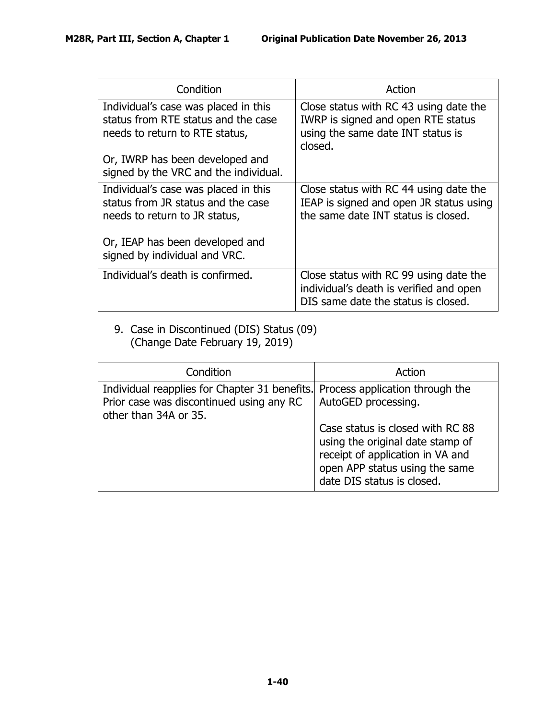| Condition                                                                                                     | Action                                                                                                                       |
|---------------------------------------------------------------------------------------------------------------|------------------------------------------------------------------------------------------------------------------------------|
| Individual's case was placed in this<br>status from RTE status and the case<br>needs to return to RTE status, | Close status with RC 43 using date the<br>IWRP is signed and open RTE status<br>using the same date INT status is<br>closed. |
| Or, IWRP has been developed and<br>signed by the VRC and the individual.                                      |                                                                                                                              |
| Individual's case was placed in this<br>status from JR status and the case<br>needs to return to JR status,   | Close status with RC 44 using date the<br>IEAP is signed and open JR status using<br>the same date INT status is closed.     |
| Or, IEAP has been developed and<br>signed by individual and VRC.                                              |                                                                                                                              |
| Individual's death is confirmed.                                                                              | Close status with RC 99 using date the<br>individual's death is verified and open<br>DIS same date the status is closed.     |

9. Case in Discontinued (DIS) Status (09) (Change Date February 19, 2019)

| Condition                                                                                                                                          | Action                                                                                                                                                                                          |
|----------------------------------------------------------------------------------------------------------------------------------------------------|-------------------------------------------------------------------------------------------------------------------------------------------------------------------------------------------------|
| Individual reapplies for Chapter 31 benefits. Process application through the<br>Prior case was discontinued using any RC<br>other than 34A or 35. | AutoGED processing.<br>Case status is closed with RC 88<br>using the original date stamp of<br>receipt of application in VA and<br>open APP status using the same<br>date DIS status is closed. |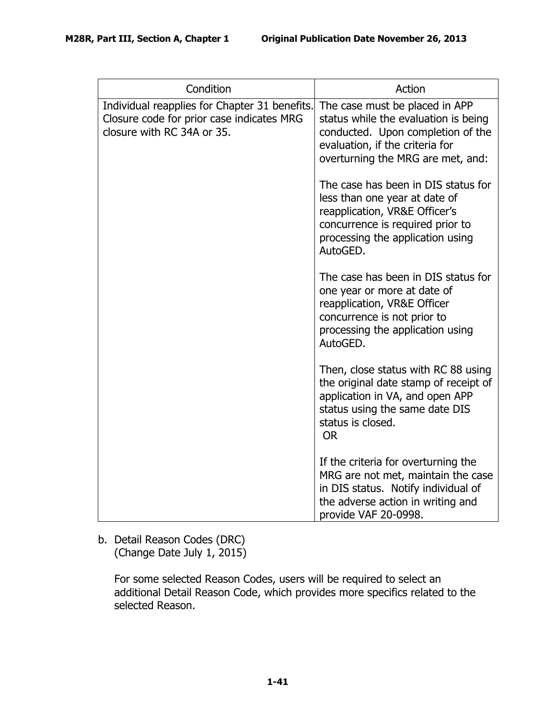| Condition                                                                                                                | Action                                                                                                                                                                                    |
|--------------------------------------------------------------------------------------------------------------------------|-------------------------------------------------------------------------------------------------------------------------------------------------------------------------------------------|
| Individual reapplies for Chapter 31 benefits.<br>Closure code for prior case indicates MRG<br>closure with RC 34A or 35. | The case must be placed in APP<br>status while the evaluation is being<br>conducted. Upon completion of the<br>evaluation, if the criteria for<br>overturning the MRG are met, and:       |
|                                                                                                                          | The case has been in DIS status for<br>less than one year at date of<br>reapplication, VR&E Officer's<br>concurrence is required prior to<br>processing the application using<br>AutoGED. |
|                                                                                                                          | The case has been in DIS status for<br>one year or more at date of<br>reapplication, VR&E Officer<br>concurrence is not prior to<br>processing the application using<br>AutoGED.          |
|                                                                                                                          | Then, close status with RC 88 using<br>the original date stamp of receipt of<br>application in VA, and open APP<br>status using the same date DIS<br>status is closed.<br><b>OR</b>       |
|                                                                                                                          | If the criteria for overturning the<br>MRG are not met, maintain the case<br>in DIS status. Notify individual of<br>the adverse action in writing and<br>provide VAF 20-0998.             |

<span id="page-42-0"></span>b. Detail Reason Codes (DRC) (Change Date July 1, 2015)

> For some selected Reason Codes, users will be required to select an additional Detail Reason Code, which provides more specifics related to the selected Reason.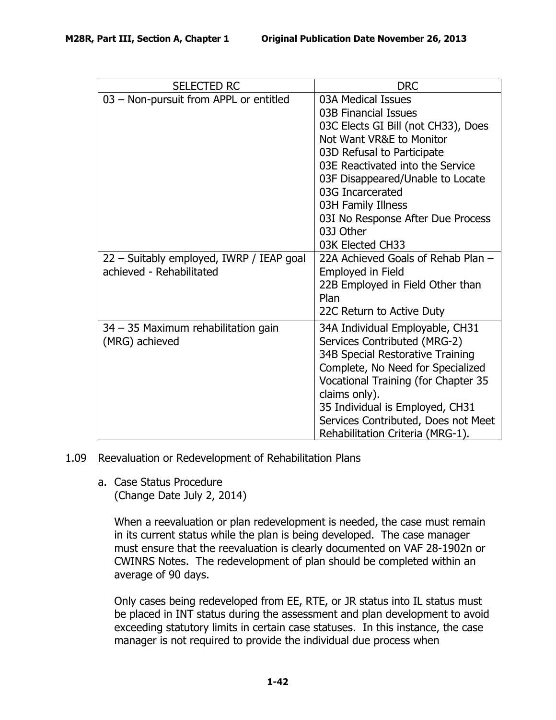| <b>SELECTED RC</b>                                    | <b>DRC</b>                                                                                                                                                                                                                                                                                                      |
|-------------------------------------------------------|-----------------------------------------------------------------------------------------------------------------------------------------------------------------------------------------------------------------------------------------------------------------------------------------------------------------|
| 03 - Non-pursuit from APPL or entitled                | 03A Medical Issues<br>03B Financial Issues<br>03C Elects GI Bill (not CH33), Does<br>Not Want VR&E to Monitor<br>03D Refusal to Participate<br>03E Reactivated into the Service<br>03F Disappeared/Unable to Locate<br>03G Incarcerated<br>03H Family Illness<br>03I No Response After Due Process<br>03J Other |
| 22 - Suitably employed, IWRP / IEAP goal              | 03K Elected CH33<br>22A Achieved Goals of Rehab Plan -                                                                                                                                                                                                                                                          |
| achieved - Rehabilitated                              | <b>Employed in Field</b>                                                                                                                                                                                                                                                                                        |
|                                                       | 22B Employed in Field Other than<br>Plan                                                                                                                                                                                                                                                                        |
|                                                       | 22C Return to Active Duty                                                                                                                                                                                                                                                                                       |
| 34 - 35 Maximum rehabilitation gain<br>(MRG) achieved | 34A Individual Employable, CH31<br>Services Contributed (MRG-2)<br>34B Special Restorative Training<br>Complete, No Need for Specialized<br>Vocational Training (for Chapter 35<br>claims only).<br>35 Individual is Employed, CH31<br>Services Contributed, Does not Meet<br>Rehabilitation Criteria (MRG-1).  |

### <span id="page-43-1"></span><span id="page-43-0"></span>1.09 Reevaluation or Redevelopment of Rehabilitation Plans

a. Case Status Procedure (Change Date July 2, 2014)

> When a reevaluation or plan redevelopment is needed, the case must remain in its current status while the plan is being developed. The case manager must ensure that the reevaluation is clearly documented on VAF 28-1902n or CWINRS Notes. The redevelopment of plan should be completed within an average of 90 days.

Only cases being redeveloped from EE, RTE, or JR status into IL status must be placed in INT status during the assessment and plan development to avoid exceeding statutory limits in certain case statuses. In this instance, the case manager is not required to provide the individual due process when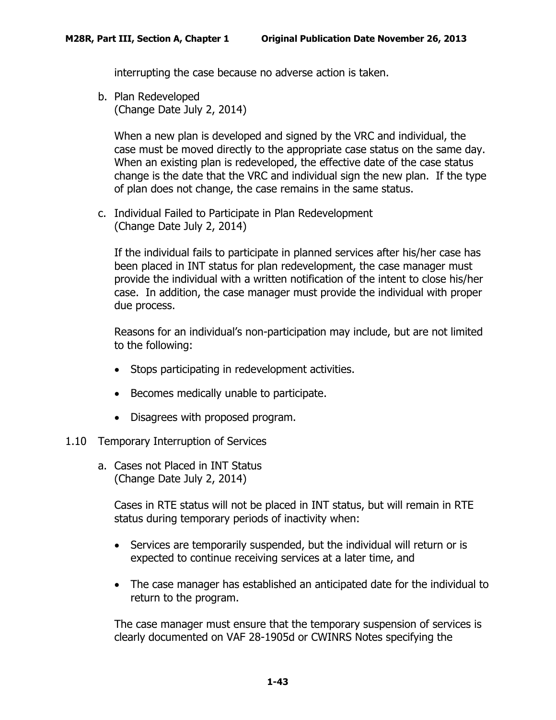interrupting the case because no adverse action is taken.

<span id="page-44-0"></span>b. Plan Redeveloped (Change Date July 2, 2014)

When a new plan is developed and signed by the VRC and individual, the case must be moved directly to the appropriate case status on the same day. When an existing plan is redeveloped, the effective date of the case status change is the date that the VRC and individual sign the new plan. If the type of plan does not change, the case remains in the same status.

<span id="page-44-1"></span>c. Individual Failed to Participate in Plan Redevelopment (Change Date July 2, 2014)

If the individual fails to participate in planned services after his/her case has been placed in INT status for plan redevelopment, the case manager must provide the individual with a written notification of the intent to close his/her case. In addition, the case manager must provide the individual with proper due process.

Reasons for an individual's non-participation may include, but are not limited to the following:

- Stops participating in redevelopment activities.
- Becomes medically unable to participate.
- Disagrees with proposed program.
- <span id="page-44-3"></span><span id="page-44-2"></span>1.10 Temporary Interruption of Services
	- a. Cases not Placed in INT Status (Change Date July 2, 2014)

Cases in RTE status will not be placed in INT status, but will remain in RTE status during temporary periods of inactivity when:

- Services are temporarily suspended, but the individual will return or is expected to continue receiving services at a later time, and
- The case manager has established an anticipated date for the individual to return to the program.

The case manager must ensure that the temporary suspension of services is clearly documented on VAF 28-1905d or CWINRS Notes specifying the